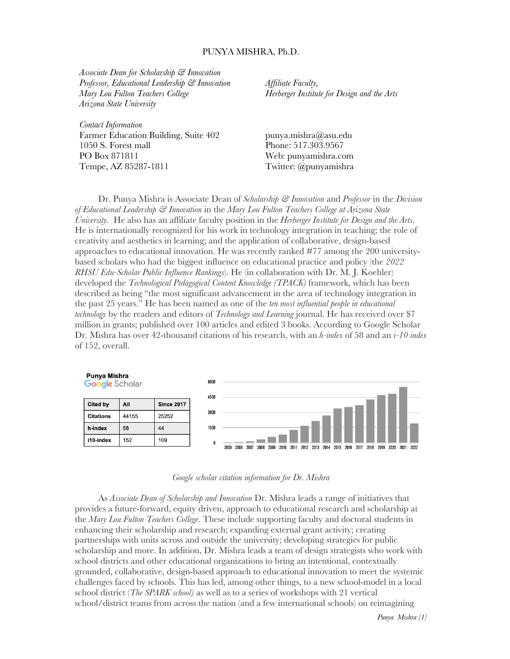#### PUNYA MISHRA, Ph.D.

*Associate Dean for Scholarship & Innovation Professor, Educational Leadership & Innovation Mary Lou Fulton Teachers College Arizona State University*

*Contact Information* Farmer Education Building, Suite 402 1050 S. Forest mall PO Box 871811 Tempe, AZ 85287-1811

*Affiliate Faculty, Herberger Institute for Design and the Arts*

punya.mishra@asu.edu Phone: 517.303.9567 Web: punyamishra.com Twitter: @punyamishra

Dr. Punya Mishra is Associate Dean of *Scholarship & Innovation* and *Professor* in the *Division of Educational Leadership & Innovation* in the *Mary Lou Fulton Teachers College at Arizona State University.* He also has an affiliate faculty position in the *Herberger Institute for Design and the Arts*. He is internationally recognized for his work in technology integration in teaching; the role of creativity and aesthetics in learning; and the application of collaborative, design-based approaches to educational innovation. He was recently ranked #77 among the 200 universitybased scholars who had the biggest influence on educational practice and policy (the *2022 RHSU Edu-Scholar Public Influence Rankings*). He (in collaboration with Dr. M. J. Koehler) developed the *Technological Pedagogical Content Knowledge (TPACK)* framework, which has been described as being "the most significant advancement in the area of technology integration in the past 25 years." He has been named as one of the *ten most influential people in educational technology* by the readers and editors of *Technology and Learning* journal. He has received over \$7 million in grants; published over 100 articles and edited 3 books. According to Google Scholar Dr. Mishra has over 42-thousand citations of his research, with an *h-index* of 58 and an *i-10 index* of 152, overall.





As *Associate Dean of Scholarship and Innovation* Dr. Mishra leads a range of initiatives that provides a future-forward, equity driven, approach to educational research and scholarship at the *Mary Lou Fulton Teachers College*. These include supporting faculty and doctoral students in enhancing their scholarship and research; expanding external grant activity; creating partnerships with units across and outside the university; developing strategies for public scholarship and more. In addition, Dr. Mishra leads a team of design strategists who work with school districts and other educational organizations to bring an intentional, contextually grounded, collaborative, design-based approach to educational innovation to meet the systemic challenges faced by schools. This has led, among other things, to a new school-model in a local school district (*The SPARK school)* as well as to a series of workshops with 21 vertical school/district teams from across the nation (and a few international schools) on reimagining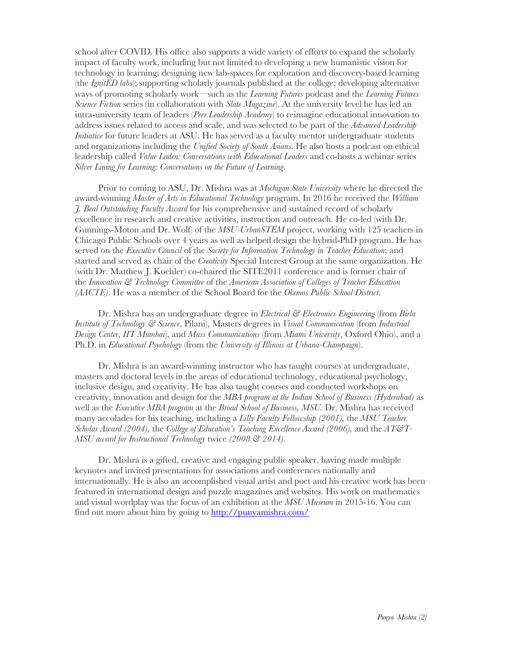school after COVID. His office also supports a wide variety of efforts to expand the scholarly impact of faculty work, including but not limited to developing a new humanistic vision for technology in learning; designing new lab-spaces for exploration and discovery-based learning (the *IgnitED labs*); supporting scholarly journals published at the college; developing alternative ways of promoting scholarly work—such as the *Learning Futures* podcast and the *Learning Futures Science Fiction* series (in collaboration with *Slate Magazine*). At the university level he has led an intra-university team of leaders (*Peer Leadership Academy*) to reimagine educational innovation to address issues related to access and scale, and was selected to be part of the *Advanced Leadership Initiative* for future leaders at ASU. He has served as a faculty mentor undergraduate students and organizations including the *Unified Society of South Asians*. He also hosts a podcast on ethical leadership called *Value Laden: Conversations with Educational Leaders* and co-hosts a webinar series *Silver Lining for Learning: Conversations on the Future of Learning.*

Prior to coming to ASU, Dr. Mishra was at *Michigan State University* where he directed the award-winning *Master of Arts in Educational Technology* program. In 2016 he received the *William J. Beal Outstanding Faculty Award* for his comprehensive and sustained record of scholarly excellence in research and creative activities, instruction and outreach. He co-led (with Dr. Gunnings-Moton and Dr. Wolf) of the *MSU-UrbanSTEM* project, working with 125 teachers in Chicago Public Schools over 4 years as well as helped design the hybrid-PhD program. He has served on the *Executive Council* of the *Society for Information Technology in Teacher Education*; and started and served as chair of the *Creativity* Special Interest Group at the same organization. He (with Dr. Matthew J. Koehler) co-chaired the SITE2011 conference and is former chair of the *Innovation & Technology Committee* of the *American Association of Colleges of Teacher Education (AACTE)*. He was a member of the School Board for the *Okemos Public School District*.

Dr. Mishra has an undergraduate degree in *Electrical & Electronics Engineering* (from *Birla Institute of Technology & Science*, Pilani), Masters degrees in *Visual Communication* (from *Industrial Design Center*, *IIT Mumbai*), and *Mass Communications* (from *Miami University*, Oxford Ohio), and a Ph.D. in *Educational Psychology* (from the *University of Illinois at Urbana-Champaign*).

Dr. Mishra is an award-winning instructor who has taught courses at undergraduate, masters and doctoral levels in the areas of educational technology, educational psychology, inclusive design, and creativity. He has also taught courses and conducted workshops on creativity, innovation and design for the *MBA program at the Indian School of Business (Hyderabad)* as well as the *Executive MBA program* at the *Broad School of Business, MSU.* Dr. Mishra has received many accolades for his teaching, including a *Lilly Faculty Fellowship (2001),* the *MSU Teacher Scholar Award (2004),* the *College of Education's Teaching Excellence Award (2006),* and the *AT&T-MSU award for Instructional Technology* twice *(2008 & 2014).*

Dr. Mishra is a gifted, creative and engaging public speaker, having made multiple keynotes and invited presentations for associations and conferences nationally and internationally. He is also an accomplished visual artist and poet and his creative work has been featured in international design and puzzle magazines and websites. His work on mathematics and visual wordplay was the focus of an exhibition at the *MSU Museum* in 2015-16. You can find out more about him by going to http://punyamishra.com/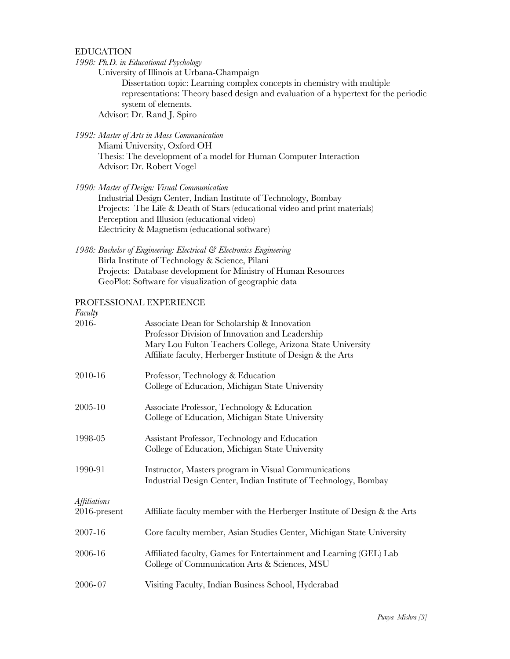EDUCATION

*1998: Ph.D. in Educational Psychology*

University of Illinois at Urbana-Champaign

Dissertation topic: Learning complex concepts in chemistry with multiple representations: Theory based design and evaluation of a hypertext for the periodic system of elements. Advisor: Dr. Rand J. Spiro

## *1992: Master of Arts in Mass Communication*

Miami University, Oxford OH Thesis: The development of a model for Human Computer Interaction Advisor: Dr. Robert Vogel

*1990: Master of Design: Visual Communication* 

Industrial Design Center, Indian Institute of Technology, Bombay Projects: The Life & Death of Stars (educational video and print materials) Perception and Illusion (educational video) Electricity & Magnetism (educational software)

*1988: Bachelor of Engineering: Electrical & Electronics Engineering*  Birla Institute of Technology & Science, Pilani Projects: Database development for Ministry of Human Resources GeoPlot: Software for visualization of geographic data

# PROFESSIONAL EXPERIENCE

| Faculty                             |                                                                                                                           |
|-------------------------------------|---------------------------------------------------------------------------------------------------------------------------|
| 2016-                               | Associate Dean for Scholarship & Innovation<br>Professor Division of Innovation and Leadership                            |
|                                     | Mary Lou Fulton Teachers College, Arizona State University<br>Affiliate faculty, Herberger Institute of Design & the Arts |
| 2010-16                             | Professor, Technology & Education<br>College of Education, Michigan State University                                      |
| 2005-10                             | Associate Professor, Technology & Education<br>College of Education, Michigan State University                            |
| 1998-05                             | Assistant Professor, Technology and Education<br>College of Education, Michigan State University                          |
| 1990-91                             | Instructor, Masters program in Visual Communications<br>Industrial Design Center, Indian Institute of Technology, Bombay  |
| <b>Affiliations</b><br>2016-present | Affiliate faculty member with the Herberger Institute of Design & the Arts                                                |
| 2007-16                             | Core faculty member, Asian Studies Center, Michigan State University                                                      |
| 2006-16                             | Affiliated faculty, Games for Entertainment and Learning (GEL) Lab<br>College of Communication Arts & Sciences, MSU       |
| 2006-07                             | Visiting Faculty, Indian Business School, Hyderabad                                                                       |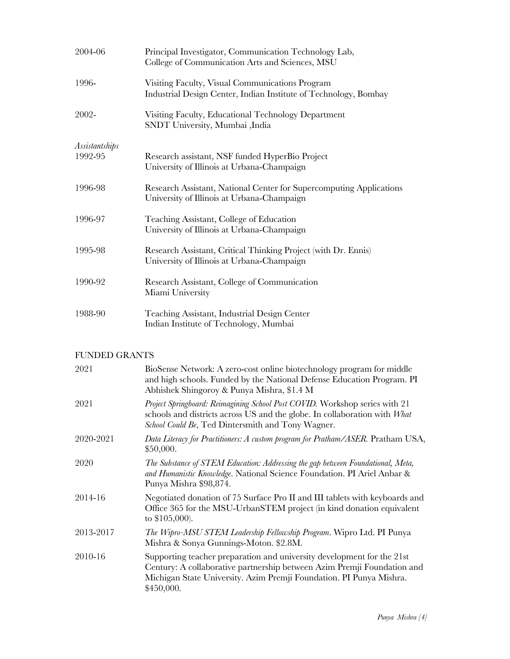| 2004-06                   | Principal Investigator, Communication Technology Lab,<br>College of Communication Arts and Sciences, MSU            |
|---------------------------|---------------------------------------------------------------------------------------------------------------------|
| 1996-                     | Visiting Faculty, Visual Communications Program<br>Industrial Design Center, Indian Institute of Technology, Bombay |
| 2002-                     | Visiting Faculty, Educational Technology Department<br>SNDT University, Mumbai ,India                               |
| Assistantships<br>1992-95 | Research assistant, NSF funded HyperBio Project<br>University of Illinois at Urbana-Champaign                       |
| 1996-98                   | Research Assistant, National Center for Supercomputing Applications<br>University of Illinois at Urbana-Champaign   |
| 1996-97                   | Teaching Assistant, College of Education<br>University of Illinois at Urbana-Champaign                              |
| 1995-98                   | Research Assistant, Critical Thinking Project (with Dr. Ennis)<br>University of Illinois at Urbana-Champaign        |
| 1990-92                   | Research Assistant, College of Communication<br>Miami University                                                    |
| 1988-90                   | Teaching Assistant, Industrial Design Center<br>Indian Institute of Technology, Mumbai                              |

# FUNDED GRANTS

| 2021<br>BioSense Network: A zero-cost online biotechnology program for middle<br>and high schools. Funded by the National Defense Education Program. PI<br>Abhishek Shingoroy & Punya Mishra, \$1.4 M<br>Project Springboard: Reimagining School Post COVID. Workshop series with 21<br>2021<br>schools and districts across US and the globe. In collaboration with What<br>School Could Be, Ted Dintersmith and Tony Wagner.<br>2020-2021<br>\$50,000.<br>2020<br>The Substance of STEM Education: Addressing the gap between Foundational, Meta,<br>and Humanistic Knowledge. National Science Foundation. PI Ariel Anbar &<br>Punya Mishra \$98,874.<br>2014-16<br>Negotiated donation of 75 Surface Pro II and III tablets with keyboards and<br>Office 365 for the MSU-UrbanSTEM project (in kind donation equivalent<br>to \$105,000).<br>2013-2017<br>The Wipro-MSU STEM Leadership Fellowship Program. Wipro Ltd. PI Punya<br>Mishra & Sonya Gunnings-Moton. \$2.8M.<br>2010-16<br>Supporting teacher preparation and university development for the 21st<br>Century: A collaborative partnership between Azim Premji Foundation and<br>Michigan State University. Azim Premji Foundation. PI Punya Mishra.<br>\$450,000. |                                                                                  |
|------------------------------------------------------------------------------------------------------------------------------------------------------------------------------------------------------------------------------------------------------------------------------------------------------------------------------------------------------------------------------------------------------------------------------------------------------------------------------------------------------------------------------------------------------------------------------------------------------------------------------------------------------------------------------------------------------------------------------------------------------------------------------------------------------------------------------------------------------------------------------------------------------------------------------------------------------------------------------------------------------------------------------------------------------------------------------------------------------------------------------------------------------------------------------------------------------------------------------------|----------------------------------------------------------------------------------|
|                                                                                                                                                                                                                                                                                                                                                                                                                                                                                                                                                                                                                                                                                                                                                                                                                                                                                                                                                                                                                                                                                                                                                                                                                                    |                                                                                  |
|                                                                                                                                                                                                                                                                                                                                                                                                                                                                                                                                                                                                                                                                                                                                                                                                                                                                                                                                                                                                                                                                                                                                                                                                                                    |                                                                                  |
|                                                                                                                                                                                                                                                                                                                                                                                                                                                                                                                                                                                                                                                                                                                                                                                                                                                                                                                                                                                                                                                                                                                                                                                                                                    | Data Literacy for Practitioners: A custom program for Pratham/ASER. Pratham USA, |
|                                                                                                                                                                                                                                                                                                                                                                                                                                                                                                                                                                                                                                                                                                                                                                                                                                                                                                                                                                                                                                                                                                                                                                                                                                    |                                                                                  |
|                                                                                                                                                                                                                                                                                                                                                                                                                                                                                                                                                                                                                                                                                                                                                                                                                                                                                                                                                                                                                                                                                                                                                                                                                                    |                                                                                  |
|                                                                                                                                                                                                                                                                                                                                                                                                                                                                                                                                                                                                                                                                                                                                                                                                                                                                                                                                                                                                                                                                                                                                                                                                                                    |                                                                                  |
|                                                                                                                                                                                                                                                                                                                                                                                                                                                                                                                                                                                                                                                                                                                                                                                                                                                                                                                                                                                                                                                                                                                                                                                                                                    |                                                                                  |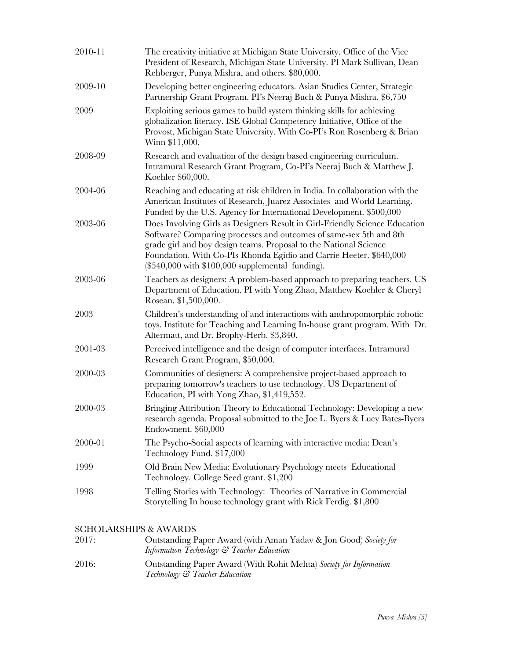| 2010-11 | The creativity initiative at Michigan State University. Office of the Vice<br>President of Research, Michigan State University. PI Mark Sullivan, Dean<br>Rehberger, Punya Mishra, and others. \$80,000.                                                                                                                                             |
|---------|------------------------------------------------------------------------------------------------------------------------------------------------------------------------------------------------------------------------------------------------------------------------------------------------------------------------------------------------------|
| 2009-10 | Developing better engineering educators. Asian Studies Center, Strategic<br>Partnership Grant Program. PI's Neeraj Buch & Punya Mishra. \$6,750                                                                                                                                                                                                      |
| 2009    | Exploiting serious games to build system thinking skills for achieving<br>globalization literacy. ISE Global Competency Initiative, Office of the<br>Provost, Michigan State University. With Co-PI's Ron Rosenberg & Brian<br>Winn \$11,000.                                                                                                        |
| 2008-09 | Research and evaluation of the design based engineering curriculum.<br>Intramural Research Grant Program, Co-PI's Neeraj Buch & Matthew J.<br>Koehler \$60,000.                                                                                                                                                                                      |
| 2004-06 | Reaching and educating at risk children in India. In collaboration with the<br>American Institutes of Research, Juarez Associates and World Learning.<br>Funded by the U.S. Agency for International Development. \$500,000                                                                                                                          |
| 2003-06 | Does Involving Girls as Designers Result in Girl-Friendly Science Education<br>Software? Comparing processes and outcomes of same-sex 5th and 8th<br>grade girl and boy design teams. Proposal to the National Science<br>Foundation. With Co-PIs Rhonda Egidio and Carrie Heeter. \$640,000<br>$(\$540,000$ with $\$100,000$ supplemental funding). |
| 2003-06 | Teachers as designers: A problem-based approach to preparing teachers. US<br>Department of Education. PI with Yong Zhao, Matthew Koehler & Cheryl<br>Rosean. \$1,500,000.                                                                                                                                                                            |
| 2003    | Children's understanding of and interactions with anthropomorphic robotic<br>toys. Institute for Teaching and Learning In-house grant program. With Dr.<br>Altermatt, and Dr. Brophy-Herb. \$3,840.                                                                                                                                                  |
| 2001-03 | Perceived intelligence and the design of computer interfaces. Intramural<br>Research Grant Program, \$50,000.                                                                                                                                                                                                                                        |
| 2000-03 | Communities of designers: A comprehensive project-based approach to<br>preparing tomorrow's teachers to use technology. US Department of<br>Education, PI with Yong Zhao, \$1,419,552.                                                                                                                                                               |
| 2000-03 | Bringing Attribution Theory to Educational Technology: Developing a new<br>research agenda. Proposal submitted to the Joe L. Byers & Lucy Bates-Byers<br>Endowment. \$60,000                                                                                                                                                                         |
| 2000-01 | The Psycho-Social aspects of learning with interactive media: Dean's<br>Technology Fund. \$17,000                                                                                                                                                                                                                                                    |
| 1999    | Old Brain New Media: Evolutionary Psychology meets Educational<br>Technology. College Seed grant. \$1,200                                                                                                                                                                                                                                            |
| 1998    | Telling Stories with Technology: Theories of Narrative in Commercial<br>Storytelling In house technology grant with Rick Ferdig. \$1,800                                                                                                                                                                                                             |
|         | <b>SCHOLARSHIPS &amp; AWARDS</b>                                                                                                                                                                                                                                                                                                                     |

# SCHOLARSHIPS & AWARDS

| 2017: | Outstanding Paper Award (with Aman Yadav & Jon Good) Society for<br>Information Technology & Teacher Education |
|-------|----------------------------------------------------------------------------------------------------------------|
| 2016: | Outstanding Paper Award (With Rohit Mehta) Society for Information<br>Technology & Teacher Education           |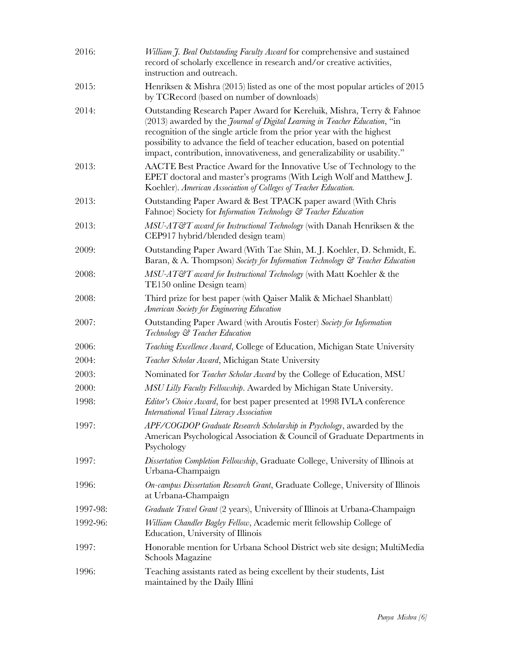| 2016:    | William J. Beal Outstanding Faculty Award for comprehensive and sustained<br>record of scholarly excellence in research and/or creative activities,<br>instruction and outreach.                                                                                                                                                                                                                 |
|----------|--------------------------------------------------------------------------------------------------------------------------------------------------------------------------------------------------------------------------------------------------------------------------------------------------------------------------------------------------------------------------------------------------|
| 2015:    | Henriksen & Mishra (2015) listed as one of the most popular articles of 2015<br>by TCRecord (based on number of downloads)                                                                                                                                                                                                                                                                       |
| 2014:    | Outstanding Research Paper Award for Kereluik, Mishra, Terry & Fahnoe<br>(2013) awarded by the <i>Journal of Digital Learning in Teacher Education</i> , "in<br>recognition of the single article from the prior year with the highest<br>possibility to advance the field of teacher education, based on potential<br>impact, contribution, innovativeness, and generalizability or usability." |
| 2013:    | AACTE Best Practice Award for the Innovative Use of Technology to the<br>EPET doctoral and master's programs (With Leigh Wolf and Matthew J.<br>Koehler). American Association of Colleges of Teacher Education.                                                                                                                                                                                 |
| 2013:    | Outstanding Paper Award & Best TPACK paper award (With Chris<br>Fahnoe) Society for <i>Information Technology</i> & Teacher Education                                                                                                                                                                                                                                                            |
| 2013:    | $MSU-AT\mathcal{C}T$ award for Instructional Technology (with Danah Henriksen & the<br>CEP917 hybrid/blended design team)                                                                                                                                                                                                                                                                        |
| 2009:    | Outstanding Paper Award (With Tae Shin, M.J. Koehler, D. Schmidt, E.<br>Baran, & A. Thompson) Society for Information Technology & Teacher Education                                                                                                                                                                                                                                             |
| 2008:    | MSU-AT&T award for Instructional Technology (with Matt Koehler & the<br>TE150 online Design team)                                                                                                                                                                                                                                                                                                |
| 2008:    | Third prize for best paper (with Qaiser Malik & Michael Shanblatt)<br>American Society for Engineering Education                                                                                                                                                                                                                                                                                 |
| 2007:    | Outstanding Paper Award (with Aroutis Foster) Society for Information<br>Technology & Teacher Education                                                                                                                                                                                                                                                                                          |
| 2006:    | Teaching Excellence Award, College of Education, Michigan State University                                                                                                                                                                                                                                                                                                                       |
| 2004:    | Teacher Scholar Award, Michigan State University                                                                                                                                                                                                                                                                                                                                                 |
| 2003:    | Nominated for <i>Teacher Scholar Award</i> by the College of Education, MSU                                                                                                                                                                                                                                                                                                                      |
| 2000:    | MSU Lilly Faculty Fellowship. Awarded by Michigan State University.                                                                                                                                                                                                                                                                                                                              |
| 1998:    | Editor's Choice Award, for best paper presented at 1998 IVLA conference<br>International Visual Literacy Association                                                                                                                                                                                                                                                                             |
| 1997:    | APF/COGDOP Graduate Research Scholarship in Psychology, awarded by the<br>American Psychological Association & Council of Graduate Departments in<br>Psychology                                                                                                                                                                                                                                  |
| 1997:    | Dissertation Completion Fellowship, Graduate College, University of Illinois at<br>Urbana-Champaign                                                                                                                                                                                                                                                                                              |
| 1996:    | On-campus Dissertation Research Grant, Graduate College, University of Illinois<br>at Urbana-Champaign                                                                                                                                                                                                                                                                                           |
| 1997-98: | Graduate Travel Grant (2 years), University of Illinois at Urbana-Champaign                                                                                                                                                                                                                                                                                                                      |
| 1992-96: | William Chandler Bagley Fellow, Academic merit fellowship College of<br>Education, University of Illinois                                                                                                                                                                                                                                                                                        |
| 1997:    | Honorable mention for Urbana School District web site design; MultiMedia<br>Schools Magazine                                                                                                                                                                                                                                                                                                     |
| 1996:    | Teaching assistants rated as being excellent by their students, List<br>maintained by the Daily Illini                                                                                                                                                                                                                                                                                           |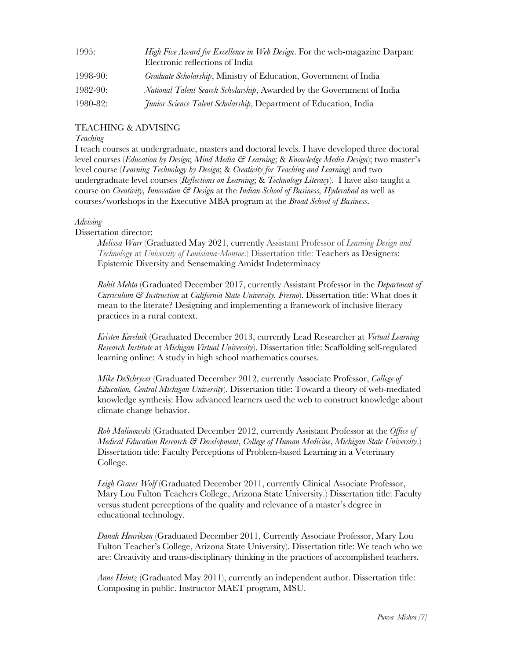| 1995:        | High Five Award for Excellence in Web Design. For the web-magazine Darpan:<br>Electronic reflections of India |
|--------------|---------------------------------------------------------------------------------------------------------------|
| $1998-90:$   | Graduate Scholarship, Ministry of Education, Government of India                                              |
| $1982 - 90:$ | <i>National Talent Search Scholarship, Awarded by the Government of India</i>                                 |
| $1980 - 82:$ | <i>Junior Science Talent Scholarship</i> , Department of Education, India                                     |

# TEACHING & ADVISING

## *Teaching*

I teach courses at undergraduate, masters and doctoral levels. I have developed three doctoral level courses (*Education by Design*; *Mind Media & Learning*; & *Knowledge Media Design*); two master's level course (*Learning Technology by Design*; & *Creativity for Teaching and Learning*) and two undergraduate level courses (*Reflections on Learning*; & *Technology Literacy*). I have also taught a course on *Creativity, Innovation & Design* at the *Indian School of Business, Hyderabad* as well as courses/workshops in the Executive MBA program at the *Broad School of Business*.

# *Advising*

# Dissertation director:

*Melissa Warr* (Graduated May 2021, currently Assistant Professor of *Learning Design and Technology* at *University of Louisiana-Monroe*.) Dissertation title: Teachers as Designers: Epistemic Diversity and Sensemaking Amidst Indeterminacy

*Rohit Mehta* (Graduated December 2017, currently Assistant Professor in the *Department of Curriculum & Instruction* at *California State University, Fresno*). Dissertation title: What does it mean to the literate? Designing and implementing a framework of inclusive literacy practices in a rural context.

*Kristen Kereluik* (Graduated December 2013, currently Lead Researcher at *Virtual Learning Research Institute* at *Michigan Virtual University*). Dissertation title: Scaffolding self-regulated learning online: A study in high school mathematics courses.

*Mike DeSchryver* (Graduated December 2012, currently Associate Professor, *College of Education, Central Michigan University*). Dissertation title: Toward a theory of web-mediated knowledge synthesis: How advanced learners used the web to construct knowledge about climate change behavior.

*Rob Malinowski* (Graduated December 2012, currently Assistant Professor at the *Office of Medical Education Research & Development*, *College of Human Medicine*, *Michigan State University*.) Dissertation title: Faculty Perceptions of Problem-based Learning in a Veterinary College.

*Leigh Graves Wolf* (Graduated December 2011, currently Clinical Associate Professor, Mary Lou Fulton Teachers College, Arizona State University.) Dissertation title: Faculty versus student perceptions of the quality and relevance of a master's degree in educational technology.

*Danah Henriksen* (Graduated December 2011, Currently Associate Professor, Mary Lou Fulton Teacher's College, Arizona State University). Dissertation title: We teach who we are: Creativity and trans-disciplinary thinking in the practices of accomplished teachers.

*Anne Heintz* (Graduated May 2011), currently an independent author. Dissertation title: Composing in public. Instructor MAET program, MSU.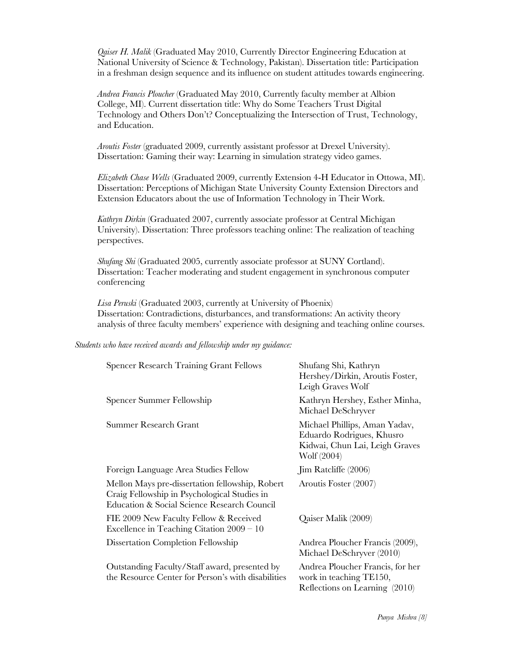*Qaiser H. Malik* (Graduated May 2010, Currently Director Engineering Education at National University of Science & Technology, Pakistan). Dissertation title: Participation in a freshman design sequence and its influence on student attitudes towards engineering.

*Andrea Francis Ploucher* (Graduated May 2010, Currently faculty member at Albion College, MI). Current dissertation title: Why do Some Teachers Trust Digital Technology and Others Don't? Conceptualizing the Intersection of Trust, Technology, and Education.

*Aroutis Foster* (graduated 2009, currently assistant professor at Drexel University). Dissertation: Gaming their way: Learning in simulation strategy video games.

*Elizabeth Chase Wells* (Graduated 2009, currently Extension 4-H Educator in Ottowa, MI). Dissertation: Perceptions of Michigan State University County Extension Directors and Extension Educators about the use of Information Technology in Their Work.

*Kathryn Dirkin* (Graduated 2007, currently associate professor at Central Michigan University). Dissertation: Three professors teaching online: The realization of teaching perspectives.

*Shufang Shi* (Graduated 2005, currently associate professor at SUNY Cortland). Dissertation: Teacher moderating and student engagement in synchronous computer conferencing

*Lisa Peruski* (Graduated 2003, currently at University of Phoenix) Dissertation: Contradictions, disturbances, and transformations: An activity theory analysis of three faculty members' experience with designing and teaching online courses.

#### *Students who have received awards and fellowship under my guidance:*

| <b>Spencer Research Training Grant Fellows</b>                                                                                                 | Shufang Shi, Kathryn<br>Hershey/Dirkin, Aroutis Foster,<br>Leigh Graves Wolf                                |
|------------------------------------------------------------------------------------------------------------------------------------------------|-------------------------------------------------------------------------------------------------------------|
| Spencer Summer Fellowship                                                                                                                      | Kathryn Hershey, Esther Minha,<br>Michael DeSchryver                                                        |
| <b>Summer Research Grant</b>                                                                                                                   | Michael Phillips, Aman Yadav,<br>Eduardo Rodrigues, Khusro<br>Kidwai, Chun Lai, Leigh Graves<br>Wolf (2004) |
| Foreign Language Area Studies Fellow                                                                                                           | Jim Ratcliffe (2006)                                                                                        |
| Mellon Mays pre-dissertation fellowship, Robert<br>Craig Fellowship in Psychological Studies in<br>Education & Social Science Research Council | Aroutis Foster (2007)                                                                                       |
| FIE 2009 New Faculty Fellow & Received<br>Excellence in Teaching Citation $2009 - 10$                                                          | Qaiser Malik (2009)                                                                                         |
| Dissertation Completion Fellowship                                                                                                             | Andrea Ploucher Francis (2009),<br>Michael DeSchryver (2010)                                                |
| Outstanding Faculty/Staff award, presented by<br>the Resource Center for Person's with disabilities                                            | Andrea Ploucher Francis, for her<br>work in teaching TE150,<br>Reflections on Learning (2010)               |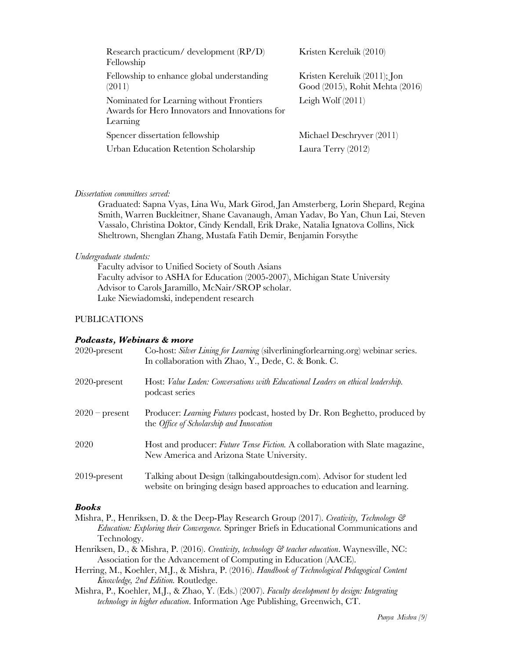| Research practicum/ development (RP/D)<br>Fellowship                                                   | Kristen Kereluik (2010)                                            |
|--------------------------------------------------------------------------------------------------------|--------------------------------------------------------------------|
| Fellowship to enhance global understanding<br>(2011)                                                   | Kristen Kereluik $(2011)$ ; Jon<br>Good (2015), Rohit Mehta (2016) |
| Nominated for Learning without Frontiers<br>Awards for Hero Innovators and Innovations for<br>Learning | Leigh Wolf $(2011)$                                                |
| Spencer dissertation fellowship                                                                        | Michael Deschryver (2011)                                          |
| Urban Education Retention Scholarship                                                                  | Laura Terry $(2012)$                                               |

## *Dissertation committees served:*

Graduated: Sapna Vyas, Lina Wu, Mark Girod, Jan Amsterberg, Lorin Shepard, Regina Smith, Warren Buckleitner, Shane Cavanaugh, Aman Yadav, Bo Yan, Chun Lai, Steven Vassalo, Christina Doktor, Cindy Kendall, Erik Drake, Natalia Ignatova Collins, Nick Sheltrown, Shenglan Zhang, Mustafa Fatih Demir, Benjamin Forsythe

## *Undergraduate students:*

Faculty advisor to Unified Society of South Asians Faculty advisor to ASHA for Education (2005-2007), Michigan State University Advisor to Carols Jaramillo, McNair/SROP scholar. Luke Niewiadomski, independent research

# PUBLICATIONS

## *Podcasts, Webinars & more*

| $2020$ -present  | Co-host: Silver Lining for Learning (silverliningforlearning.org) webinar series.<br>In collaboration with Zhao, Y., Dede, C. & Bonk. C.            |
|------------------|-----------------------------------------------------------------------------------------------------------------------------------------------------|
| $2020$ -present  | Host: Value Laden: Conversations with Educational Leaders on ethical leadership.<br>podcast series                                                  |
| $2020$ – present | Producer: <i>Learning Futures</i> podcast, hosted by Dr. Ron Beghetto, produced by<br>the <i>Office</i> of <i>Scholarship</i> and <i>Innovation</i> |
| 2020             | Host and producer: Future Tense Fiction. A collaboration with Slate magazine,<br>New America and Arizona State University.                          |
| $2019$ -present  | Talking about Design (talking about design.com). Advisor for student led<br>website on bringing design based approaches to education and learning.  |

# *Books*

- Mishra, P., Henriksen, D. & the Deep-Play Research Group (2017). *Creativity, Technology & Education: Exploring their Convergence.* Springer Briefs in Educational Communications and Technology.
- Henriksen, D., & Mishra, P. (2016). *Creativity, technology & teacher education*. Waynesville, NC: Association for the Advancement of Computing in Education (AACE).
- Herring, M., Koehler, M.J., & Mishra, P. (2016). *Handbook of Technological Pedagogical Content Knowledge, 2nd Edition.* Routledge.
- Mishra, P., Koehler, M.J., & Zhao, Y. (Eds.) (2007). *Faculty development by design: Integrating technology in higher education*. Information Age Publishing, Greenwich, CT.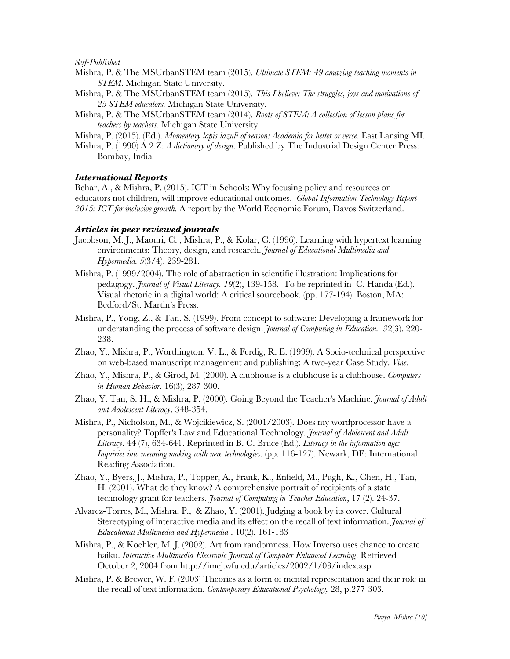### *Self-Published*

- Mishra, P. & The MSUrbanSTEM team (2015). *Ultimate STEM: 49 amazing teaching moments in STEM*. Michigan State University.
- Mishra, P. & The MSUrbanSTEM team (2015). *This I believe: The struggles, joys and motivations of 25 STEM educators.* Michigan State University.
- Mishra, P. & The MSUrbanSTEM team (2014). *Roots of STEM: A collection of lesson plans for teachers by teachers*. Michigan State University.

Mishra, P. (2015). (Ed.). *Momentary lapis lazuli of reason: Academia for better or verse*. East Lansing MI.

Mishra, P. (1990) A 2 Z: *A dictionary of design*. Published by The Industrial Design Center Press: Bombay, India

## *International Reports*

Behar, A., & Mishra, P. (2015). ICT in Schools: Why focusing policy and resources on educators not children, will improve educational outcomes. *Global Information Technology Report 2015: ICT for inclusive growth.* A report by the World Economic Forum, Davos Switzerland.

## *Articles in peer reviewed journals*

- Jacobson, M. J., Maouri, C. , Mishra, P., & Kolar, C. (1996). Learning with hypertext learning environments: Theory, design, and research. *Journal of Educational Multimedia and Hypermedia. 5*(3/4), 239-281.
- Mishra, P. (1999/2004). The role of abstraction in scientific illustration: Implications for pedagogy. *Journal of Visual Literacy. 19*(2), 139-158. To be reprinted in C. Handa (Ed.). Visual rhetoric in a digital world: A critical sourcebook. (pp. 177-194). Boston, MA: Bedford/St. Martin's Press.
- Mishra, P., Yong, Z., & Tan, S. (1999). From concept to software: Developing a framework for understanding the process of software design. *Journal of Computing in Education. 3*2(3). 220- 238.
- Zhao, Y., Mishra, P., Worthington, V. L., & Ferdig, R. E. (1999). A Socio-technical perspective on web-based manuscript management and publishing: A two-year Case Study. *Vine*.
- Zhao, Y., Mishra, P., & Girod, M. (2000). A clubhouse is a clubhouse is a clubhouse. *Computers in Human Behavior*. 16(3), 287-300.
- Zhao, Y. Tan, S. H., & Mishra, P. (2000). Going Beyond the Teacher's Machine. *Journal of Adult and Adolescent Literacy*. 348-354.
- Mishra, P., Nicholson, M., & Wojcikiewicz, S. (2001/2003). Does my wordprocessor have a personality? Topffer's Law and Educational Technology. *Journal of Adolescent and Adult Literacy*. 44 (7), 634-641. Reprinted in B. C. Bruce (Ed.). *Literacy in the information age: Inquiries into meaning making with new technologies*. (pp. 116-127). Newark, DE: International Reading Association.
- Zhao, Y., Byers, J., Mishra, P., Topper, A., Frank, K., Enfield, M., Pugh, K., Chen, H., Tan, H. (2001). What do they know? A comprehensive portrait of recipients of a state technology grant for teachers. *Journal of Computing in Teacher Education*, 17 (2). 24-37.
- Alvarez-Torres, M., Mishra, P., & Zhao, Y. (2001). Judging a book by its cover. Cultural Stereotyping of interactive media and its effect on the recall of text information. *Journal of Educational Multimedia and Hypermedia* . 10(2), 161-183
- Mishra, P., & Koehler, M. J. (2002). Art from randomness. How Inverso uses chance to create haiku. *Interactive Multimedia Electronic Journal of Computer Enhanced Learning*. Retrieved October 2, 2004 from http://imej.wfu.edu/articles/2002/1/03/index.asp
- Mishra, P. & Brewer, W. F. (2003) Theories as a form of mental representation and their role in the recall of text information. *Contemporary Educational Psychology,* 28, p.277-303.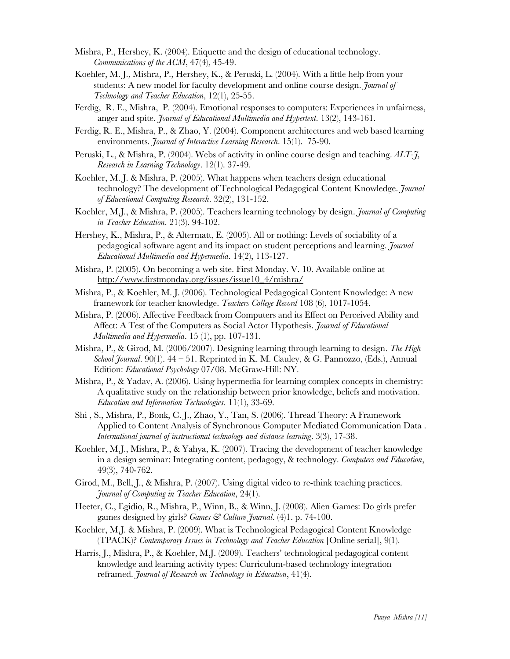- Mishra, P., Hershey, K. (2004). Etiquette and the design of educational technology. *Communications of the ACM*, 47(4), 45-49.
- Koehler, M. J., Mishra, P., Hershey, K., & Peruski, L. (2004). With a little help from your students: A new model for faculty development and online course design. *Journal of Technology and Teacher Education*, 12(1), 25-55.
- Ferdig, R. E., Mishra, P. (2004). Emotional responses to computers: Experiences in unfairness, anger and spite. *Journal of Educational Multimedia and Hypertext*. 13(2), 143-161.
- Ferdig, R. E., Mishra, P., & Zhao, Y. (2004). Component architectures and web based learning environments. *Journal of Interactive Learning Research*. 15(1). 75-90.
- Peruski, L., & Mishra, P. (2004). Webs of activity in online course design and teaching. *ALT-J, Research in Learning Technology*. 12(1). 37-49.
- Koehler, M. J. & Mishra, P. (2005). What happens when teachers design educational technology? The development of Technological Pedagogical Content Knowledge. *Journal of Educational Computing Research*. 32(2), 131-152.
- Koehler, M.J., & Mishra, P. (2005). Teachers learning technology by design. *Journal of Computing in Teacher Education*. 21(3). 94-102.
- Hershey, K., Mishra, P., & Altermatt, E. (2005). All or nothing: Levels of sociability of a pedagogical software agent and its impact on student perceptions and learning. *Journal Educational Multimedia and Hypermedia*. 14(2), 113-127.
- Mishra, P. (2005). On becoming a web site. First Monday. V. 10. Available online at http://www.firstmonday.org/issues/issue10\_4/mishra/
- Mishra, P., & Koehler, M. J. (2006). Technological Pedagogical Content Knowledge: A new framework for teacher knowledge. *Teachers College Record* 108 (6), 1017-1054.
- Mishra, P. (2006). Affective Feedback from Computers and its Effect on Perceived Ability and Affect: A Test of the Computers as Social Actor Hypothesis. *Journal of Educational Multimedia and Hypermedia*. 15 (1), pp. 107-131.
- Mishra, P., & Girod, M. (2006/2007). Designing learning through learning to design. *The High School Journal*. 90(1). 44 – 51. Reprinted in K. M. Cauley, & G. Pannozzo, (Eds.), Annual Edition: *Educational Psychology* 07/08. McGraw-Hill: NY.
- Mishra, P., & Yadav, A. (2006). Using hypermedia for learning complex concepts in chemistry: A qualitative study on the relationship between prior knowledge, beliefs and motivation. *Education and Information Technologies*. 11(1), 33-69.
- Shi , S., Mishra, P., Bonk, C. J., Zhao, Y., Tan, S. (2006). Thread Theory: A Framework Applied to Content Analysis of Synchronous Computer Mediated Communication Data . *International journal of instructional technology and distance learning*. 3(3), 17-38.
- Koehler, M.J., Mishra, P., & Yahya, K. (2007). Tracing the development of teacher knowledge in a design seminar: Integrating content, pedagogy, & technology. *Computers and Education*, 49(3), 740-762.
- Girod, M., Bell, J., & Mishra, P. (2007). Using digital video to re-think teaching practices. *Journal of Computing in Teacher Education*, 24(1).
- Heeter, C., Egidio, R., Mishra, P., Winn, B., & Winn, J. (2008). Alien Games: Do girls prefer games designed by girls? *Games & Culture Journal*. (4)1. p. 74-100.
- Koehler, M.J. & Mishra, P. (2009). What is Technological Pedagogical Content Knowledge (TPACK)? *Contemporary Issues in Technology and Teacher Education* [Online serial], 9(1).
- Harris, J., Mishra, P., & Koehler, M.J. (2009). Teachers' technological pedagogical content knowledge and learning activity types: Curriculum-based technology integration reframed. *Journal of Research on Technology in Education*, 41(4).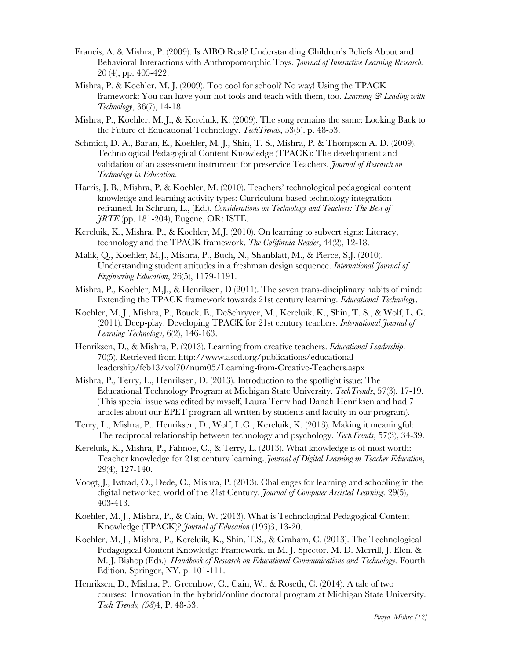- Francis, A. & Mishra, P. (2009). Is AIBO Real? Understanding Children's Beliefs About and Behavioral Interactions with Anthropomorphic Toys. *Journal of Interactive Learning Research*. 20 (4), pp. 405-422.
- Mishra, P. & Koehler. M. J. (2009). Too cool for school? No way! Using the TPACK framework: You can have your hot tools and teach with them, too. *Learning & Leading with Technology*, 36(7), 14-18.
- Mishra, P., Koehler, M. J., & Kereluik, K. (2009). The song remains the same: Looking Back to the Future of Educational Technology. *TechTrends*, 53(5). p. 48-53.
- Schmidt, D. A., Baran, E., Koehler, M. J., Shin, T. S., Mishra, P. & Thompson A. D. (2009). Technological Pedagogical Content Knowledge (TPACK): The development and validation of an assessment instrument for preservice Teachers. *Journal of Research on Technology in Education*.
- Harris, J. B., Mishra, P. & Koehler, M. (2010). Teachers' technological pedagogical content knowledge and learning activity types: Curriculum-based technology integration reframed. In Schrum, L., (Ed.). *Considerations on Technology and Teachers: The Best of JRTE* (pp. 181-204), Eugene, OR: ISTE.
- Kereluik, K., Mishra, P., & Koehler, M.J. (2010). On learning to subvert signs: Literacy, technology and the TPACK framework. *The California Reader*, 44(2), 12-18.
- Malik, Q., Koehler, M.J., Mishra, P., Buch, N., Shanblatt, M., & Pierce, S.J. (2010). Understanding student attitudes in a freshman design sequence. *International Journal of Engineering Education*, 26(5), 1179-1191.
- Mishra, P., Koehler, M.J., & Henriksen, D (2011). The seven trans-disciplinary habits of mind: Extending the TPACK framework towards 21st century learning. *Educational Technology*.
- Koehler, M. J., Mishra, P., Bouck, E., DeSchryver, M., Kereluik, K., Shin, T. S., & Wolf, L. G. (2011). Deep-play: Developing TPACK for 21st century teachers. *International Journal of Learning Technology*, 6(2), 146-163.
- Henriksen, D., & Mishra, P. (2013). Learning from creative teachers. *Educational Leadership*. 70(5). Retrieved from http://www.ascd.org/publications/educationalleadership/feb13/vol70/num05/Learning-from-Creative-Teachers.aspx
- Mishra, P., Terry, L., Henriksen, D. (2013). Introduction to the spotlight issue: The Educational Technology Program at Michigan State University. *TechTrends*, 57(3), 17-19. (This special issue was edited by myself, Laura Terry had Danah Henriksen and had 7 articles about our EPET program all written by students and faculty in our program).
- Terry, L., Mishra, P., Henriksen, D., Wolf, L.G., Kereluik, K. (2013). Making it meaningful: The reciprocal relationship between technology and psychology. *TechTrends*, 57(3), 34-39.
- Kereluik, K., Mishra, P., Fahnoe, C., & Terry, L. (2013). What knowledge is of most worth: Teacher knowledge for 21st century learning. *Journal of Digital Learning in Teacher Education*, 29(4), 127-140.
- Voogt, J., Estrad, O., Dede, C., Mishra, P. (2013). Challenges for learning and schooling in the digital networked world of the 21st Century. *Journal of Computer Assisted Learning.* 29(5), 403-413.
- Koehler, M. J., Mishra, P., & Cain, W. (2013). What is Technological Pedagogical Content Knowledge (TPACK)? *Journal of Education* (193)3, 13-20.
- Koehler, M. J., Mishra, P., Kereluik, K., Shin, T.S., & Graham, C. (2013). The Technological Pedagogical Content Knowledge Framework. in M. J. Spector, M. D. Merrill, J. Elen, & M. J. Bishop (Eds.) *Handbook of Research on Educational Communications and Technology.* Fourth Edition. Springer, NY. p. 101-111.
- Henriksen, D., Mishra, P., Greenhow, C., Cain, W., & Roseth, C. (2014). A tale of two courses: Innovation in the hybrid/online doctoral program at Michigan State University. *Tech Trends, (58*)4, P. 48-53.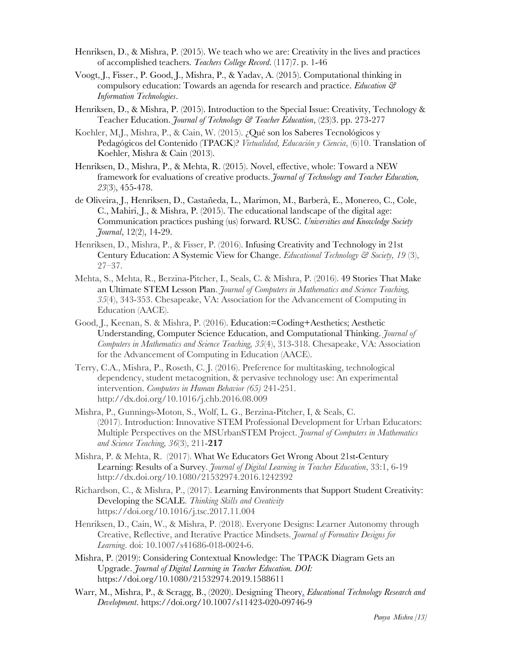- Henriksen, D., & Mishra, P. (2015). We teach who we are: Creativity in the lives and practices of accomplished teachers. *Teachers College Record*. (117)7. p. 1-46
- Voogt, J., Fisser., P. Good, J., Mishra, P., & Yadav, A. (2015). Computational thinking in compulsory education: Towards an agenda for research and practice. *Education & Information Technologies*.
- Henriksen, D., & Mishra, P. (2015). Introduction to the Special Issue: Creativity, Technology & Teacher Education. *Journal of Technology & Teacher Education*, (23)3. pp. 273-277
- Koehler, M.J., Mishra, P., & Cain, W. (2015). ¿Qué son los Saberes Tecnológicos y Pedagógicos del Contenido (TPACK)? *Virtualidad, Educación y Ciencia*, (6)10. Translation of Koehler, Mishra & Cain (2013).
- Henriksen, D., Mishra, P., & Mehta, R. (2015). Novel, effective, whole: Toward a NEW framework for evaluations of creative products. *Journal of Technology and Teacher Education, 23*(3), 455-478.
- de Oliveira, J., Henriksen, D., Castañeda, L., Marimon, M., Barberà, E., Monereo, C., Cole, C., Mahiri, J., & Mishra, P. (2015). The educational landscape of the digital age: Communication practices pushing (us) forward. RUSC. *Universities and Knowledge Society Journal*, 12(2), 14-29.
- Henriksen, D., Mishra, P., & Fisser, P. (2016). Infusing Creativity and Technology in 21st Century Education: A Systemic View for Change. *Educational Technology & Society, 19* (3), 27–37.
- Mehta, S., Mehta, R., Berzina-Pitcher, I., Seals, C. & Mishra, P. (2016). 49 Stories That Make an Ultimate STEM Lesson Plan. *Journal of Computers in Mathematics and Science Teaching, 35*(4), 343-353. Chesapeake, VA: Association for the Advancement of Computing in Education (AACE).
- Good, J., Keenan, S. & Mishra, P. (2016). Education:=Coding+Aesthetics; Aesthetic Understanding, Computer Science Education, and Computational Thinking. *Journal of Computers in Mathematics and Science Teaching, 35*(4), 313-318. Chesapeake, VA: Association for the Advancement of Computing in Education (AACE).
- Terry, C.A., Mishra, P., Roseth, C. J. (2016). Preference for multitasking, technological dependency, student metacognition, & pervasive technology use: An experimental intervention. *Computers in Human Behavior (65)* 241-251. http://dx.doi.org/10.1016/j.chb.2016.08.009
- Mishra, P., Gunnings-Moton, S., Wolf, L. G., Berzina-Pitcher, I, & Seals, C. (2017). Introduction: Innovative STEM Professional Development for Urban Educators: Multiple Perspectives on the MSUrbanSTEM Project. *Journal of Computers in Mathematics and Science Teaching, 36*(3), 211-**217**
- Mishra, P. & Mehta, R. (2017). What We Educators Get Wrong About 21st-Century Learning: Results of a Survey. *Journal of Digital Learning in Teacher Education*, 33:1, 6-19 http://dx.doi.org/10.1080/21532974.2016.1242392
- Richardson, C., & Mishra, P., (2017). Learning Environments that Support Student Creativity: Developing the SCALE. *Thinking Skills and Creativity*  https://doi.org/10.1016/j.tsc.2017.11.004
- Henriksen, D., Cain, W., & Mishra, P. (2018). Everyone Designs: Learner Autonomy through Creative, Reflective, and Iterative Practice Mindsets. *Journal of Formative Designs for Learning*. doi: 10.1007/s41686-018-0024-6.
- Mishra, P. (2019): Considering Contextual Knowledge: The TPACK Diagram Gets an Upgrade. *Journal of Digital Learning in Teacher Education. DOI:*  https://doi.org/10.1080/21532974.2019.1588611
- Warr, M., Mishra, P., & Scragg, B., (2020). Designing Theory. *Educational Technology Research and Development*. https://doi.org/10.1007/s11423-020-09746-9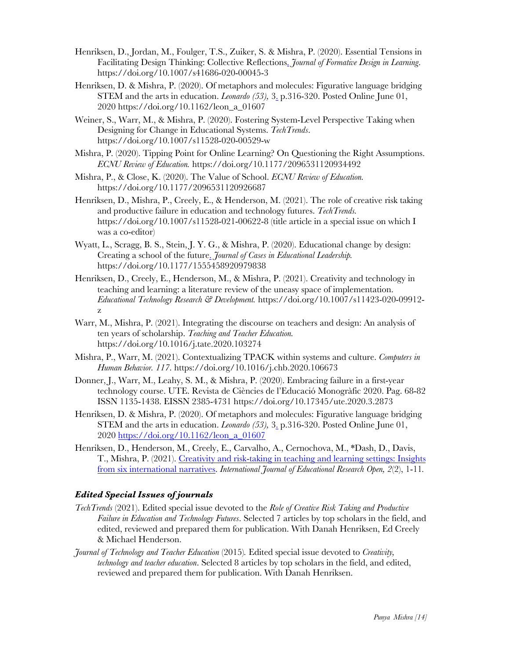- Henriksen, D., Jordan, M., Foulger, T.S., Zuiker, S. & Mishra, P. (2020). Essential Tensions in Facilitating Design Thinking: Collective Reflections. *Journal of Formative Design in Learning*. https://doi.org/10.1007/s41686-020-00045-3
- Henriksen, D. & Mishra, P. (2020). Of metaphors and molecules: Figurative language bridging STEM and the arts in education. *Leonardo (53),* 3. p.316-320. Posted Online June 01, 2020 https://doi.org/10.1162/leon\_a\_01607
- Weiner, S., Warr, M., & Mishra, P. (2020). Fostering System-Level Perspective Taking when Designing for Change in Educational Systems. *TechTrends*. https://doi.org/10.1007/s11528-020-00529-w
- Mishra, P. (2020). Tipping Point for Online Learning? On Questioning the Right Assumptions. *ECNU Review of Education.* https://doi.org/10.1177/2096531120934492
- Mishra, P., & Close, K. (2020). The Value of School. *ECNU Review of Education.* https://doi.org/10.1177/2096531120926687
- Henriksen, D., Mishra, P., Creely, E., & Henderson, M. (2021). The role of creative risk taking and productive failure in education and technology futures. *TechTrends.*  https://doi.org/10.1007/s11528-021-00622-8 (title article in a special issue on which I was a co-editor)
- Wyatt, L., Scragg, B. S., Stein, J. Y. G., & Mishra, P. (2020). Educational change by design: Creating a school of the future. *Journal of Cases in Educational Leadership.*  https://doi.org/10.1177/1555458920979838
- Henriksen, D., Creely, E., Henderson, M., & Mishra, P. (2021). Creativity and technology in teaching and learning: a literature review of the uneasy space of implementation. *Educational Technology Research & Development.* https://doi.org/10.1007/s11423-020-09912 z
- Warr, M., Mishra, P. (2021). Integrating the discourse on teachers and design: An analysis of ten years of scholarship. *Teaching and Teacher Education.*  https://doi.org/10.1016/j.tate.2020.103274
- Mishra, P., Warr, M. (2021). Contextualizing TPACK within systems and culture. *Computers in Human Behavior. 117*. https://doi.org/10.1016/j.chb.2020.106673
- Donner, J., Warr, M., Leahy, S. M., & Mishra, P. (2020). Embracing failure in a first-year technology course. UTE. Revista de Ciències de l'Educació Monogràfic 2020. Pag. 68-82 ISSN 1135-1438. EISSN 2385-4731 https://doi.org/10.17345/ute.2020.3.2873
- Henriksen, D. & Mishra, P. (2020). Of metaphors and molecules: Figurative language bridging STEM and the arts in education. *Leonardo (53),* 3. p.316-320. Posted Online June 01, 2020 https://doi.org/10.1162/leon\_a\_01607
- Henriksen, D., Henderson, M., Creely, E., Carvalho, A., Cernochova, M., \*Dash, D., Davis, T., Mishra, P. (2021). Creativity and risk-taking in teaching and learning settings: Insights from six international narratives. *International Journal of Educational Research Open, 2*(2), 1-11*.*

# *Edited Special Issues of journals*

- *TechTrends* (2021). Edited special issue devoted to the *Role of Creative Risk Taking and Productive Failure in Education and Technology Futures*. Selected 7 articles by top scholars in the field, and edited, reviewed and prepared them for publication. With Danah Henriksen, Ed Creely & Michael Henderson.
- *Journal of Technology and Teacher Education* (2015)*.* Edited special issue devoted to *Creativity, technology and teacher education*. Selected 8 articles by top scholars in the field, and edited, reviewed and prepared them for publication. With Danah Henriksen.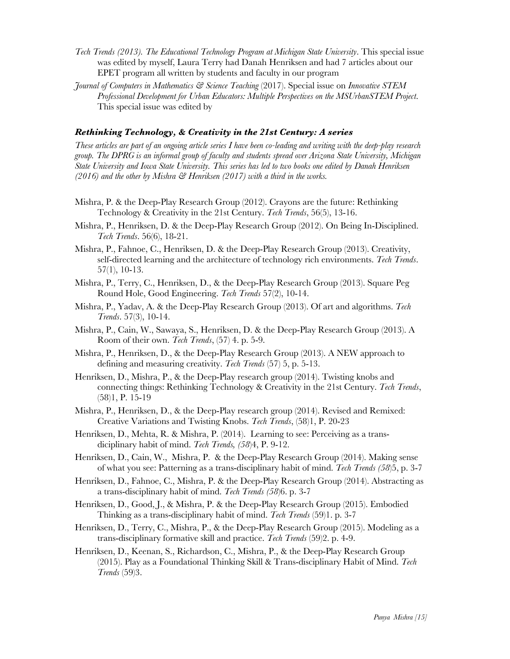- *Tech Trends (2013). The Educational Technology Program at Michigan State University*. This special issue was edited by myself, Laura Terry had Danah Henriksen and had 7 articles about our EPET program all written by students and faculty in our program
- *Journal of Computers in Mathematics & Science Teaching* (2017). Special issue on *Innovative STEM Professional Development for Urban Educators: Multiple Perspectives on the MSUrbanSTEM Project*. This special issue was edited by

## *Rethinking Technology, & Creativity in the 21st Century: A series*

*These articles are part of an ongoing article series I have been co-leading and writing with the deep-play research group. The DPRG is an informal group of faculty and students spread over Arizona State University, Michigan State University and Iowa State University. This series has led to two books one edited by Danah Henriksen (2016) and the other by Mishra & Henriksen (2017) with a third in the works.* 

- Mishra, P. & the Deep-Play Research Group (2012). Crayons are the future: Rethinking Technology & Creativity in the 21st Century. *Tech Trends*, 56(5), 13-16.
- Mishra, P., Henriksen, D. & the Deep-Play Research Group (2012). On Being In-Disciplined. *Tech Trends*. 56(6), 18-21.
- Mishra, P., Fahnoe, C., Henriksen, D. & the Deep-Play Research Group (2013). Creativity, self-directed learning and the architecture of technology rich environments. *Tech Trends*. 57(1), 10-13.
- Mishra, P., Terry, C., Henriksen, D., & the Deep-Play Research Group (2013). Square Peg Round Hole, Good Engineering. *Tech Trends* 57(2), 10-14.
- Mishra, P., Yadav, A. & the Deep-Play Research Group (2013). Of art and algorithms. *Tech Trends*. 57(3), 10-14.
- Mishra, P., Cain, W., Sawaya, S., Henriksen, D. & the Deep-Play Research Group (2013). A Room of their own. *Tech Trends*, (57) 4. p. 5-9.
- Mishra, P., Henriksen, D., & the Deep-Play Research Group (2013). A NEW approach to defining and measuring creativity. *Tech Trends* (57) 5, p. 5-13.
- Henriksen, D., Mishra, P., & the Deep-Play research group (2014). Twisting knobs and connecting things: Rethinking Technology & Creativity in the 21st Century. *Tech Trends*, (58)1, P. 15-19
- Mishra, P., Henriksen, D., & the Deep-Play research group (2014). Revised and Remixed: Creative Variations and Twisting Knobs. *Tech Trends*, (58)1, P. 20-23
- Henriksen, D., Mehta, R. & Mishra, P. (2014). Learning to see: Perceiving as a transdiciplinary habit of mind. *Tech Trends, (58*)4, P. 9-12.
- Henriksen, D., Cain, W., Mishra, P. & the Deep-Play Research Group (2014). Making sense of what you see: Patterning as a trans-disciplinary habit of mind. *Tech Trends (58*)5, p. 3-7
- Henriksen, D., Fahnoe, C., Mishra, P. & the Deep-Play Research Group (2014). Abstracting as a trans-disciplinary habit of mind. *Tech Trends (58*)6. p. 3-7
- Henriksen, D., Good, J., & Mishra, P. & the Deep-Play Research Group (2015). Embodied Thinking as a trans-disciplinary habit of mind. *Tech Trends* (59)1. p. 3-7
- Henriksen, D., Terry, C., Mishra, P., & the Deep-Play Research Group (2015). Modeling as a trans-disciplinary formative skill and practice. *Tech Trends* (59)2. p. 4-9.
- Henriksen, D., Keenan, S., Richardson, C., Mishra, P., & the Deep-Play Research Group (2015). Play as a Foundational Thinking Skill & Trans-disciplinary Habit of Mind. *Tech Trends* (59)3.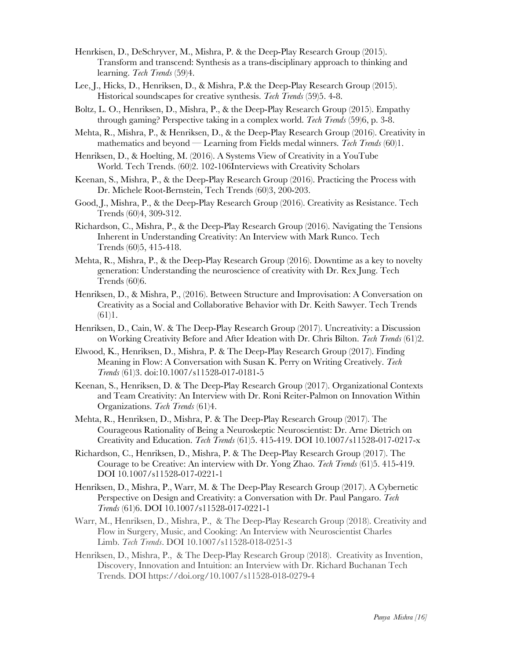- Henrkisen, D., DeSchryver, M., Mishra, P. & the Deep-Play Research Group (2015). Transform and transcend: Synthesis as a trans-disciplinary approach to thinking and learning. *Tech Trends* (59)4.
- Lee, J., Hicks, D., Henriksen, D., & Mishra, P.& the Deep-Play Research Group (2015). Historical soundscapes for creative synthesis. *Tech Trends* (59)5. 4-8.
- Boltz, L. O., Henriksen, D., Mishra, P., & the Deep-Play Research Group (2015). Empathy through gaming? Perspective taking in a complex world. *Tech Trends* (59)6, p. 3-8.
- Mehta, R., Mishra, P., & Henriksen, D., & the Deep-Play Research Group (2016). Creativity in mathematics and beyond — Learning from Fields medal winners. *Tech Trends* (60)1.
- Henriksen, D., & Hoelting, M. (2016). A Systems View of Creativity in a YouTube World. Tech Trends. (60)2. 102-106Interviews with Creativity Scholars
- Keenan, S., Mishra, P., & the Deep-Play Research Group (2016). Practicing the Process with Dr. Michele Root-Bernstein, Tech Trends (60)3, 200-203.
- Good, J., Mishra, P., & the Deep-Play Research Group (2016). Creativity as Resistance. Tech Trends (60)4, 309-312.
- Richardson, C., Mishra, P., & the Deep-Play Research Group (2016). Navigating the Tensions Inherent in Understanding Creativity: An Interview with Mark Runco. Tech Trends (60)5, 415-418.
- Mehta, R., Mishra, P., & the Deep-Play Research Group (2016). Downtime as a key to novelty generation: Understanding the neuroscience of creativity with Dr. Rex Jung. Tech Trends (60)6.
- Henriksen, D., & Mishra, P., (2016). Between Structure and Improvisation: A Conversation on Creativity as a Social and Collaborative Behavior with Dr. Keith Sawyer. Tech Trends  $(61)1.$
- Henriksen, D., Cain, W. & The Deep-Play Research Group (2017). Uncreativity: a Discussion on Working Creativity Before and After Ideation with Dr. Chris Bilton. *Tech Trends* (61)2.
- Elwood, K., Henriksen, D., Mishra, P. & The Deep-Play Research Group (2017). Finding Meaning in Flow: A Conversation with Susan K. Perry on Writing Creatively. *Tech Trends* (61)3. doi:10.1007/s11528-017-0181-5
- Keenan, S., Henriksen, D. & The Deep-Play Research Group (2017). Organizational Contexts and Team Creativity: An Interview with Dr. Roni Reiter-Palmon on Innovation Within Organizations. *Tech Trends* (61)4.
- Mehta, R., Henriksen, D., Mishra, P. & The Deep-Play Research Group (2017). The Courageous Rationality of Being a Neuroskeptic Neuroscientist: Dr. Arne Dietrich on Creativity and Education. *Tech Trends* (61)5. 415-419. DOI 10.1007/s11528-017-0217-x
- Richardson, C., Henriksen, D., Mishra, P. & The Deep-Play Research Group (2017). The Courage to be Creative: An interview with Dr. Yong Zhao. *Tech Trends* (61)5. 415-419. DOI 10.1007/s11528-017-0221-1
- Henriksen, D., Mishra, P., Warr, M. & The Deep-Play Research Group (2017). A Cybernetic Perspective on Design and Creativity: a Conversation with Dr. Paul Pangaro. *Tech Trends* (61)6. DOI 10.1007/s11528-017-0221-1
- Warr, M., Henriksen, D., Mishra, P., & The Deep-Play Research Group (2018). Creativity and Flow in Surgery, Music, and Cooking: An Interview with Neuroscientist Charles Limb. *Tech Trends*. DOI 10.1007/s11528-018-0251-3
- Henriksen, D., Mishra, P., & The Deep-Play Research Group (2018). Creativity as Invention, Discovery, Innovation and Intuition: an Interview with Dr. Richard Buchanan Tech Trends. DOI https://doi.org/10.1007/s11528-018-0279-4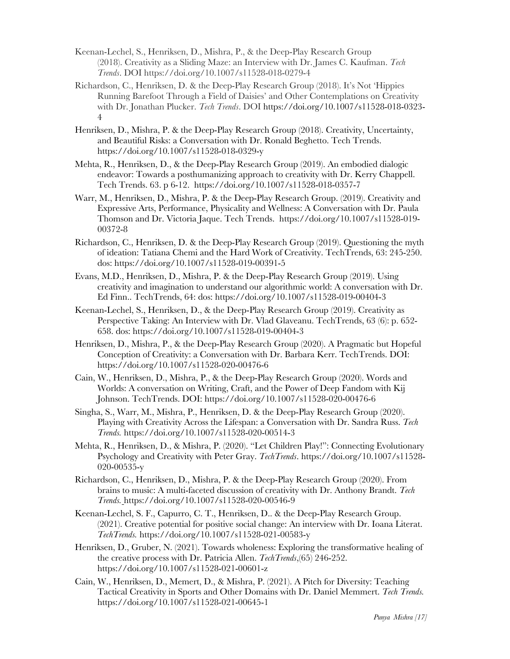- Keenan-Lechel, S., Henriksen, D., Mishra, P., & the Deep-Play Research Group (2018). Creativity as a Sliding Maze: an Interview with Dr. James C. Kaufman. *Tech Trends*. DOI https://doi.org/10.1007/s11528-018-0279-4
- Richardson, C., Henriksen, D. & the Deep-Play Research Group (2018). It's Not 'Hippies Running Barefoot Through a Field of Daisies' and Other Contemplations on Creativity with Dr. Jonathan Plucker. *Tech Trends*. DOI https://doi.org/10.1007/s11528-018-0323- 4
- Henriksen, D., Mishra, P. & the Deep-Play Research Group (2018). Creativity, Uncertainty, and Beautiful Risks: a Conversation with Dr. Ronald Beghetto. Tech Trends. https://doi.org/10.1007/s11528-018-0329-y
- Mehta, R., Henriksen, D., & the Deep-Play Research Group (2019). An embodied dialogic endeavor: Towards a posthumanizing approach to creativity with Dr. Kerry Chappell. Tech Trends. 63. p 6-12. https://doi.org/10.1007/s11528-018-0357-7
- Warr, M., Henriksen, D., Mishra, P. & the Deep-Play Research Group. (2019). Creativity and Expressive Arts, Performance, Physicality and Wellness: A Conversation with Dr. Paula Thomson and Dr. Victoria Jaque. Tech Trends. https://doi.org/10.1007/s11528-019- 00372-8
- Richardson, C., Henriksen, D. & the Deep-Play Research Group (2019). Questioning the myth of ideation: Tatiana Chemi and the Hard Work of Creativity. TechTrends, 63: 245-250. dos: https://doi.org/10.1007/s11528-019-00391-5
- Evans, M.D., Henriksen, D., Mishra, P. & the Deep-Play Research Group (2019). Using creativity and imagination to understand our algorithmic world: A conversation with Dr. Ed Finn.. TechTrends, 64: dos: https://doi.org/10.1007/s11528-019-00404-3
- Keenan-Lechel, S., Henriksen, D., & the Deep-Play Research Group (2019). Creativity as Perspective Taking: An Interview with Dr. Vlad Glaveanu. TechTrends, 63 (6): p. 652- 658. dos: https://doi.org/10.1007/s11528-019-00404-3
- Henriksen, D., Mishra, P., & the Deep-Play Research Group (2020). A Pragmatic but Hopeful Conception of Creativity: a Conversation with Dr. Barbara Kerr. TechTrends. DOI: https://doi.org/10.1007/s11528-020-00476-6
- Cain, W., Henriksen, D., Mishra, P., & the Deep-Play Research Group (2020). Words and Worlds: A conversation on Writing, Craft, and the Power of Deep Fandom with Kij Johnson. TechTrends. DOI: https://doi.org/10.1007/s11528-020-00476-6
- Singha, S., Warr, M., Mishra, P., Henriksen, D. & the Deep-Play Research Group (2020). Playing with Creativity Across the Lifespan: a Conversation with Dr. Sandra Russ. *Tech Trends.* https://doi.org/10.1007/s11528-020-00514-3
- Mehta, R., Henriksen, D., & Mishra, P. (2020). "Let Children Play!": Connecting Evolutionary Psychology and Creativity with Peter Gray. *TechTrends*. https://doi.org/10.1007/s11528- 020-00535-y
- Richardson, C., Henriksen, D., Mishra, P. & the Deep-Play Research Group (2020). From brains to music: A multi-faceted discussion of creativity with Dr. Anthony Brandt. *Tech Trends.* https://doi.org/10.1007/s11528-020-00546-9
- Keenan-Lechel, S. F., Capurro, C. T., Henriksen, D.. & the Deep-Play Research Group. (2021). Creative potential for positive social change: An interview with Dr. Ioana Literat. *TechTrends.* https://doi.org/10.1007/s11528-021-00583-y
- Henriksen, D., Gruber, N. (2021). Towards wholeness: Exploring the transformative healing of the creative process with Dr. Patricia Allen. *TechTrends*,(65) 246-252. https://doi.org/10.1007/s11528-021-00601-z
- Cain, W., Henriksen, D., Memert, D., & Mishra, P. (2021). A Pitch for Diversity: Teaching Tactical Creativity in Sports and Other Domains with Dr. Daniel Memmert. *Tech Trends.*  https://doi.org/10.1007/s11528-021-00645-1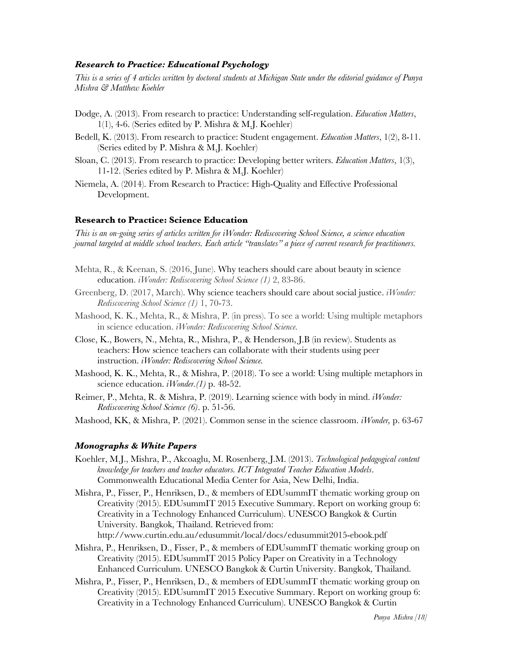### *Research to Practice: Educational Psychology*

*This is a series of 4 articles written by doctoral students at Michigan State under the editorial guidance of Punya Mishra & Matthew Koehler* 

- Dodge, A. (2013). From research to practice: Understanding self-regulation. *Education Matters*, 1(1), 4-6. (Series edited by P. Mishra & M.J. Koehler)
- Bedell, K. (2013). From research to practice: Student engagement. *Education Matters*, 1(2), 8-11. (Series edited by P. Mishra & M.J. Koehler)
- Sloan, C. (2013). From research to practice: Developing better writers. *Education Matters*, 1(3), 11-12. (Series edited by P. Mishra & M.J. Koehler)
- Niemela, A. (2014). From Research to Practice: High-Quality and Effective Professional Development.

## **Research to Practice: Science Education**

*This is an on-going series of articles written for iWonder: Rediscovering School Science, a science education journal targeted at middle school teachers. Each article "translates" a piece of current research for practitioners.* 

- Mehta, R., & Keenan, S. (2016, June). Why teachers should care about beauty in science education. *iWonder: Rediscovering School Science (1)* 2, 83-86.
- Greenberg, D. (2017, March). Why science teachers should care about social justice. *iWonder: Rediscovering School Science (1)* 1, 70-73.
- Mashood, K. K., Mehta, R., & Mishra, P. (in press). To see a world: Using multiple metaphors in science education. *iWonder: Rediscovering School Science.*
- Close, K., Bowers, N., Mehta, R., Mishra, P., & Henderson, J.B (in review). Students as teachers: How science teachers can collaborate with their students using peer instruction. *iWonder: Rediscovering School Science.*
- Mashood, K. K., Mehta, R., & Mishra, P. (2018). To see a world: Using multiple metaphors in science education. *iWonder.(1)* p. 48-52.
- Reimer, P., Mehta, R. & Mishra, P. (2019). Learning science with body in mind. *iWonder: Rediscovering School Science (6)*. p. 51-56.
- Mashood, KK, & Mishra, P. (2021). Common sense in the science classroom. *iWonder,* p. 63-67

#### *Monographs & White Papers*

- Koehler, M.J., Mishra, P., Akcoaglu, M. Rosenberg, J.M. (2013). *Technological pedagogical content knowledge for teachers and teacher educators. ICT Integrated Teacher Education Models*. Commonwealth Educational Media Center for Asia, New Delhi, India.
- Mishra, P., Fisser, P., Henriksen, D., & members of EDUsummIT thematic working group on Creativity (2015). EDUsummIT 2015 Executive Summary. Report on working group 6: Creativity in a Technology Enhanced Curriculum). UNESCO Bangkok & Curtin University. Bangkok, Thailand. Retrieved from:

http://www.curtin.edu.au/edusummit/local/docs/edusummit2015-ebook.pdf

- Mishra, P., Henriksen, D., Fisser, P., & members of EDUsummIT thematic working group on Creativity (2015). EDUsummIT 2015 Policy Paper on Creativity in a Technology Enhanced Curriculum. UNESCO Bangkok & Curtin University. Bangkok, Thailand.
- Mishra, P., Fisser, P., Henriksen, D., & members of EDUsummIT thematic working group on Creativity (2015). EDUsummIT 2015 Executive Summary. Report on working group 6: Creativity in a Technology Enhanced Curriculum). UNESCO Bangkok & Curtin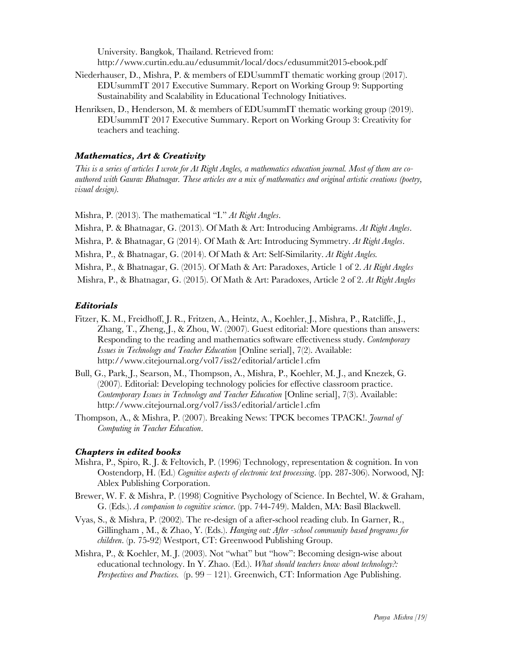University. Bangkok, Thailand. Retrieved from: http://www.curtin.edu.au/edusummit/local/docs/edusummit2015-ebook.pdf

- Niederhauser, D., Mishra, P. & members of EDUsummIT thematic working group (2017). EDUsummIT 2017 Executive Summary. Report on Working Group 9: Supporting Sustainability and Scalability in Educational Technology Initiatives.
- Henriksen, D., Henderson, M. & members of EDUsummIT thematic working group (2019). EDUsummIT 2017 Executive Summary. Report on Working Group 3: Creativity for teachers and teaching.

## *Mathematics, Art & Creativity*

*This is a series of articles I wrote for At Right Angles, a mathematics education journal. Most of them are coauthored with Gaurav Bhatnagar. These articles are a mix of mathematics and original artistic creations (poetry, visual design).* 

Mishra, P. (2013). The mathematical "I." *At Right Angles*.

Mishra, P. & Bhatnagar, G. (2013). Of Math & Art: Introducing Ambigrams. *At Right Angles*.

Mishra, P. & Bhatnagar, G (2014). Of Math & Art: Introducing Symmetry. *At Right Angles*.

Mishra, P., & Bhatnagar, G. (2014). Of Math & Art: Self-Similarity. *At Right Angles.*

Mishra, P., & Bhatnagar, G. (2015). Of Math & Art: Paradoxes, Article 1 of 2. *At Right Angles* 

Mishra, P., & Bhatnagar, G. (2015). Of Math & Art: Paradoxes, Article 2 of 2. *At Right Angles* 

### *Editorials*

- Fitzer, K. M., Freidhoff, J. R., Fritzen, A., Heintz, A., Koehler, J., Mishra, P., Ratcliffe, J., Zhang, T., Zheng, J., & Zhou, W. (2007). Guest editorial: More questions than answers: Responding to the reading and mathematics software effectiveness study. *Contemporary Issues in Technology and Teacher Education* [Online serial], 7(2). Available: http://www.citejournal.org/vol7/iss2/editorial/article1.cfm
- Bull, G., Park, J., Searson, M., Thompson, A., Mishra, P., Koehler, M. J., and Knezek, G. (2007). Editorial: Developing technology policies for effective classroom practice. *Contemporary Issues in Technology and Teacher Education* [Online serial], 7(3). Available: http://www.citejournal.org/vol7/iss3/editorial/article1.cfm
- Thompson, A., & Mishra, P. (2007). Breaking News: TPCK becomes TPACK!. *Journal of Computing in Teacher Education*.

### *Chapters in edited books*

- Mishra, P., Spiro, R. J. & Feltovich, P. (1996) Technology, representation & cognition. In von Oostendorp, H. (Ed.) *Cognitive aspects of electronic text processing*. (pp. 287-306). Norwood, NJ: Ablex Publishing Corporation.
- Brewer, W. F. & Mishra, P. (1998) Cognitive Psychology of Science. In Bechtel, W. & Graham, G. (Eds.). *A companion to cognitive science*. (pp. 744-749). Malden, MA: Basil Blackwell.
- Vyas, S., & Mishra, P. (2002). The re-design of a after-school reading club. In Garner, R., Gillingham , M., & Zhao, Y. (Eds.). *Hanging out: After -school community based programs for children*. (p. 75-92) Westport, CT: Greenwood Publishing Group.
- Mishra, P., & Koehler, M. J. (2003). Not "what" but "how": Becoming design-wise about educational technology. In Y. Zhao. (Ed.). *What should teachers know about technology?: Perspectives and Practices.* (p. 99 – 121). Greenwich, CT: Information Age Publishing.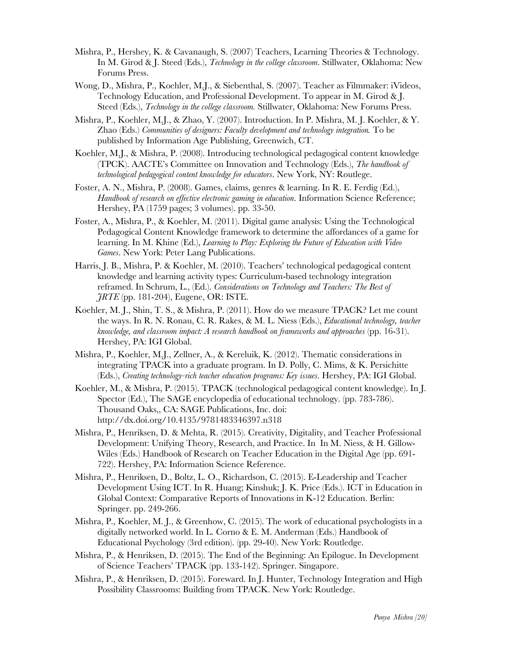- Mishra, P., Hershey, K. & Cavanaugh, S. (2007) Teachers, Learning Theories & Technology. In M. Girod & J. Steed (Eds.), *Technology in the college classroom*. Stillwater, Oklahoma: New Forums Press.
- Wong, D., Mishra, P., Koehler, M.J., & Siebenthal, S. (2007). Teacher as Filmmaker: iVideos, Technology Education, and Professional Development. To appear in M. Girod & J. Steed (Eds.), *Technology in the college classroom.* Stillwater, Oklahoma: New Forums Press.
- Mishra, P., Koehler, M.J., & Zhao, Y. (2007). Introduction. In P. Mishra, M. J. Koehler, & Y. Zhao (Eds.) *Communities of designers: Faculty development and technology integration.* To be published by Information Age Publishing, Greenwich, CT.
- Koehler, M.J., & Mishra, P. (2008). Introducing technological pedagogical content knowledge (TPCK). AACTE's Committee on Innovation and Technology (Eds.), *The handbook of technological pedagogical content knowledge for educators*. New York, NY: Routlege.
- Foster, A. N., Mishra, P. (2008). Games, claims, genres & learning. In R. E. Ferdig (Ed.), *Handbook of research on effective electronic gaming in education*. Information Science Reference; Hershey, PA (1759 pages; 3 volumes). pp. 33-50.
- Foster, A., Mishra, P., & Koehler, M. (2011). Digital game analysis: Using the Technological Pedagogical Content Knowledge framework to determine the affordances of a game for learning. In M. Khine (Ed.), *Learning to Play: Exploring the Future of Education with Video Games*. New York: Peter Lang Publications.
- Harris, J. B., Mishra, P. & Koehler, M. (2010). Teachers' technological pedagogical content knowledge and learning activity types: Curriculum-based technology integration reframed. In Schrum, L., (Ed.). *Considerations on Technology and Teachers: The Best of JRTE* (pp. 181-204), Eugene, OR: ISTE.
- Koehler, M. J., Shin, T. S., & Mishra, P. (2011). How do we measure TPACK? Let me count the ways. In R. N. Ronau, C. R. Rakes, & M. L. Niess (Eds.), *Educational technology, teacher knowledge, and classroom impact: A research handbook on frameworks and approaches* (pp. 16-31). Hershey, PA: IGI Global.
- Mishra, P., Koehler, M.J., Zellner, A., & Kereluik, K. (2012). Thematic considerations in integrating TPACK into a graduate program. In D. Polly, C. Mims, & K. Persichitte (Eds.), *Creating technology-rich teacher education programs: Key issues*. Hershey, PA: IGI Global.
- Koehler, M., & Mishra, P. (2015). TPACK (technological pedagogical content knowledge). In J. Spector (Ed.), The SAGE encyclopedia of educational technology. (pp. 783-786). Thousand Oaks,, CA: SAGE Publications, Inc. doi: http://dx.doi.org/10.4135/9781483346397.n318
- Mishra, P., Henriksen, D. & Mehta, R. (2015). Creativity, Digitality, and Teacher Professional Development: Unifying Theory, Research, and Practice. In In M. Niess, & H. Gillow-Wiles (Eds.) Handbook of Research on Teacher Education in the Digital Age (pp. 691- 722). Hershey, PA: Information Science Reference.
- Mishra, P., Henriksen, D., Boltz, L. O., Richardson, C. (2015). E-Leadership and Teacher Development Using ICT. In R. Huang; Kinshuk; J. K. Price (Eds.). ICT in Education in Global Context: Comparative Reports of Innovations in K-12 Education. Berlin: Springer. pp. 249-266.
- Mishra, P., Koehler, M. J., & Greenhow, C. (2015). The work of educational psychologists in a digitally networked world. In L. Corno & E. M. Anderman (Eds.) Handbook of Educational Psychology (3rd edition). (pp. 29-40). New York: Routledge.
- Mishra, P., & Henriksen, D. (2015). The End of the Beginning: An Epilogue. In Development of Science Teachers' TPACK (pp. 133-142). Springer. Singapore.
- Mishra, P., & Henriksen, D. (2015). Foreward. In J. Hunter, Technology Integration and High Possibility Classrooms: Building from TPACK. New York: Routledge.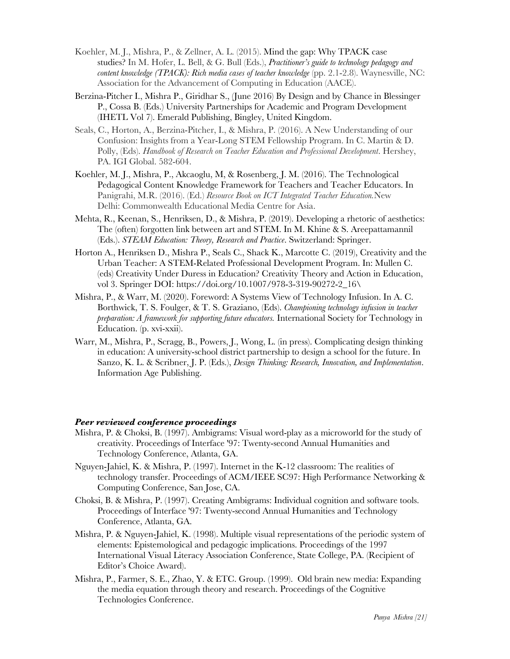- Koehler, M. J., Mishra, P., & Zellner, A. L. (2015). Mind the gap: Why TPACK case studies? In M. Hofer, L. Bell, & G. Bull (Eds.), *Practitioner's guide to technology pedagogy and content knowledge (TPACK): Rich media cases of teacher knowledge* (pp. 2.1-2.8). Waynesville, NC: Association for the Advancement of Computing in Education (AACE).
- Berzina-Pitcher I., Mishra P., Giridhar S., (June 2016) By Design and by Chance in Blessinger P., Cossa B. (Eds.) University Partnerships for Academic and Program Development (IHETL Vol 7). Emerald Publishing, Bingley, United Kingdom.
- Seals, C., Horton, A., Berzina-Pitcher, I., & Mishra, P. (2016). A New Understanding of our Confusion: Insights from a Year-Long STEM Fellowship Program. In C. Martin & D. Polly, (Eds). *Handbook of Research on Teacher Education and Professional Development*. Hershey, PA. IGI Global. 582-604.
- Koehler, M. J., Mishra, P., Akcaoglu, M, & Rosenberg, J. M. (2016). The Technological Pedagogical Content Knowledge Framework for Teachers and Teacher Educators. In Panigrahi, M.R. (2016). (Ed.) *Resource Book on ICT Integrated Teacher Education.*New Delhi: Commonwealth Educational Media Centre for Asia.
- Mehta, R., Keenan, S., Henriksen, D., & Mishra, P. (2019). Developing a rhetoric of aesthetics: The (often) forgotten link between art and STEM. In M. Khine & S. Areepattamannil (Eds.). *STEAM Education: Theory, Research and Practice*. Switzerland: Springer.
- Horton A., Henriksen D., Mishra P., Seals C., Shack K., Marcotte C. (2019), Creativity and the Urban Teacher: A STEM-Related Professional Development Program. In: Mullen C. (eds) Creativity Under Duress in Education? Creativity Theory and Action in Education, vol 3. Springer DOI: https://doi.org/10.1007/978-3-319-90272-2\_16\
- Mishra, P., & Warr, M. (2020). Foreword: A Systems View of Technology Infusion. In A. C. Borthwick, T. S. Foulger, & T. S. Graziano, (Eds). *Championing technology infusion in teacher preparation: A framework for supporting future educators.* International Society for Technology in Education. (p. xvi-xxii).
- Warr, M., Mishra, P., Scragg, B., Powers, J., Wong, L. (in press). Complicating design thinking in education: A university-school district partnership to design a school for the future. In Sanzo, K. L. & Scribner, J. P. (Eds.), *Design Thinking: Research, Innovation, and Implementation*. Information Age Publishing.

## *Peer reviewed conference proceedings*

- Mishra, P. & Choksi, B. (1997). Ambigrams: Visual word-play as a microworld for the study of creativity. Proceedings of Interface '97: Twenty-second Annual Humanities and Technology Conference, Atlanta, GA.
- Nguyen-Jahiel, K. & Mishra, P. (1997). Internet in the K-12 classroom: The realities of technology transfer. Proceedings of ACM/IEEE SC97: High Performance Networking & Computing Conference, San Jose, CA.
- Choksi, B. & Mishra, P. (1997). Creating Ambigrams: Individual cognition and software tools. Proceedings of Interface '97: Twenty-second Annual Humanities and Technology Conference, Atlanta, GA.
- Mishra, P. & Nguyen-Jahiel, K. (1998). Multiple visual representations of the periodic system of elements: Epistemological and pedagogic implications. Proceedings of the 1997 International Visual Literacy Association Conference, State College, PA. (Recipient of Editor's Choice Award).
- Mishra, P., Farmer, S. E., Zhao, Y. & ETC. Group. (1999). Old brain new media: Expanding the media equation through theory and research. Proceedings of the Cognitive Technologies Conference.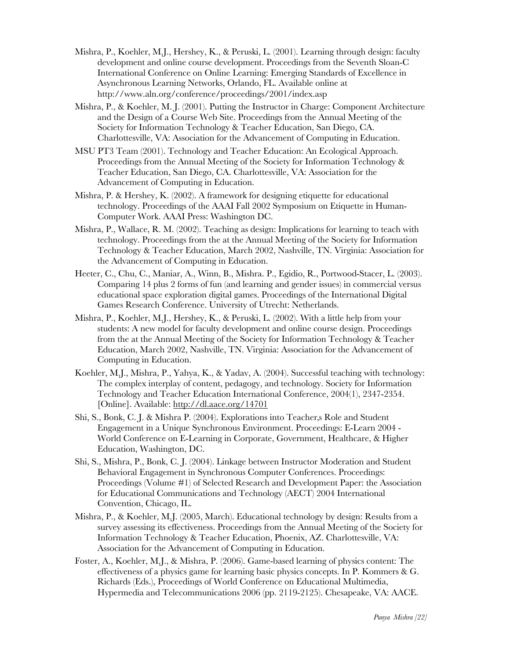- Mishra, P., Koehler, M.J., Hershey, K., & Peruski, L. (2001). Learning through design: faculty development and online course development. Proceedings from the Seventh Sloan-C International Conference on Online Learning: Emerging Standards of Excellence in Asynchronous Learning Networks, Orlando, FL. Available online at http://www.aln.org/conference/proceedings/2001/index.asp
- Mishra, P., & Koehler, M. J. (2001). Putting the Instructor in Charge: Component Architecture and the Design of a Course Web Site. Proceedings from the Annual Meeting of the Society for Information Technology & Teacher Education, San Diego, CA. Charlottesville, VA: Association for the Advancement of Computing in Education.
- MSU PT3 Team (2001). Technology and Teacher Education: An Ecological Approach. Proceedings from the Annual Meeting of the Society for Information Technology & Teacher Education, San Diego, CA. Charlottesville, VA: Association for the Advancement of Computing in Education.
- Mishra, P. & Hershey, K. (2002). A framework for designing etiquette for educational technology. Proceedings of the AAAI Fall 2002 Symposium on Etiquette in Human-Computer Work. AAAI Press: Washington DC.
- Mishra, P., Wallace, R. M. (2002). Teaching as design: Implications for learning to teach with technology. Proceedings from the at the Annual Meeting of the Society for Information Technology & Teacher Education, March 2002, Nashville, TN. Virginia: Association for the Advancement of Computing in Education.
- Heeter, C., Chu, C., Maniar, A., Winn, B., Mishra. P., Egidio, R., Portwood-Stacer, L. (2003). Comparing 14 plus 2 forms of fun (and learning and gender issues) in commercial versus educational space exploration digital games. Proceedings of the International Digital Games Research Conference. University of Utrecht: Netherlands.
- Mishra, P., Koehler, M.J., Hershey, K., & Peruski, L. (2002). With a little help from your students: A new model for faculty development and online course design. Proceedings from the at the Annual Meeting of the Society for Information Technology & Teacher Education, March 2002, Nashville, TN. Virginia: Association for the Advancement of Computing in Education.
- Koehler, M.J., Mishra, P., Yahya, K., & Yadav, A. (2004). Successful teaching with technology: The complex interplay of content, pedagogy, and technology. Society for Information Technology and Teacher Education International Conference, 2004(1), 2347-2354. [Online]. Available: http://dl.aace.org/14701
- Shi, S., Bonk, C. J. & Mishra P. (2004). Explorations into Teacher, Role and Student Engagement in a Unique Synchronous Environment. Proceedings: E-Learn 2004 - World Conference on E-Learning in Corporate, Government, Healthcare, & Higher Education, Washington, DC.
- Shi, S., Mishra, P., Bonk, C. J. (2004). Linkage between Instructor Moderation and Student Behavioral Engagement in Synchronous Computer Conferences. Proceedings: Proceedings (Volume #1) of Selected Research and Development Paper: the Association for Educational Communications and Technology (AECT) 2004 International Convention, Chicago, IL.
- Mishra, P., & Koehler, M.J. (2005, March). Educational technology by design: Results from a survey assessing its effectiveness. Proceedings from the Annual Meeting of the Society for Information Technology & Teacher Education, Phoenix, AZ. Charlottesville, VA: Association for the Advancement of Computing in Education.
- Foster, A., Koehler, M.J., & Mishra, P. (2006). Game-based learning of physics content: The effectiveness of a physics game for learning basic physics concepts. In P. Kommers & G. Richards (Eds.), Proceedings of World Conference on Educational Multimedia, Hypermedia and Telecommunications 2006 (pp. 2119-2125). Chesapeake, VA: AACE.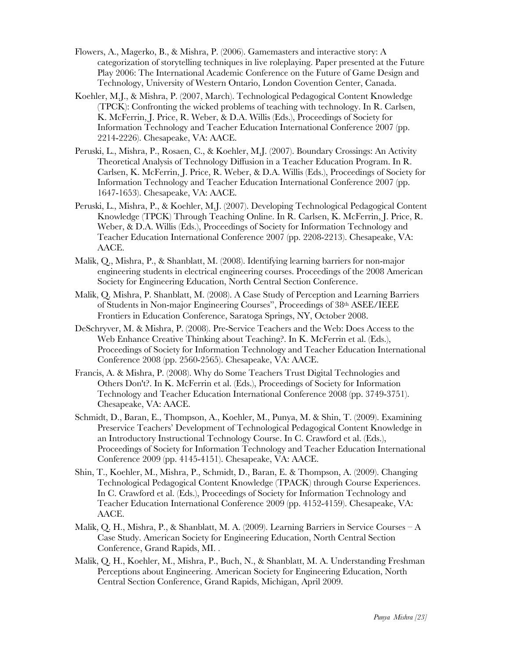- Flowers, A., Magerko, B., & Mishra, P. (2006). Gamemasters and interactive story: A categorization of storytelling techniques in live roleplaying. Paper presented at the Future Play 2006: The International Academic Conference on the Future of Game Design and Technology, University of Western Ontario, London Covention Center, Canada.
- Koehler, M.J., & Mishra, P. (2007, March). Technological Pedagogical Content Knowledge (TPCK): Confronting the wicked problems of teaching with technology. In R. Carlsen, K. McFerrin, J. Price, R. Weber, & D.A. Willis (Eds.), Proceedings of Society for Information Technology and Teacher Education International Conference 2007 (pp. 2214-2226). Chesapeake, VA: AACE.
- Peruski, L., Mishra, P., Rosaen, C., & Koehler, M.J. (2007). Boundary Crossings: An Activity Theoretical Analysis of Technology Diffusion in a Teacher Education Program. In R. Carlsen, K. McFerrin, J. Price, R. Weber, & D.A. Willis (Eds.), Proceedings of Society for Information Technology and Teacher Education International Conference 2007 (pp. 1647-1653). Chesapeake, VA: AACE.
- Peruski, L., Mishra, P., & Koehler, M.J. (2007). Developing Technological Pedagogical Content Knowledge (TPCK) Through Teaching Online. In R. Carlsen, K. McFerrin, J. Price, R. Weber, & D.A. Willis (Eds.), Proceedings of Society for Information Technology and Teacher Education International Conference 2007 (pp. 2208-2213). Chesapeake, VA: AACE.
- Malik, Q., Mishra, P., & Shanblatt, M. (2008). Identifying learning barriers for non-major engineering students in electrical engineering courses. Proceedings of the 2008 American Society for Engineering Education, North Central Section Conference.
- Malik, Q. Mishra, P. Shanblatt, M. (2008). A Case Study of Perception and Learning Barriers of Students in Non-major Engineering Courses", Proceedings of 38th ASEE/IEEE Frontiers in Education Conference, Saratoga Springs, NY, October 2008.
- DeSchryver, M. & Mishra, P. (2008). Pre-Service Teachers and the Web: Does Access to the Web Enhance Creative Thinking about Teaching?. In K. McFerrin et al. (Eds.), Proceedings of Society for Information Technology and Teacher Education International Conference 2008 (pp. 2560-2565). Chesapeake, VA: AACE.
- Francis, A. & Mishra, P. (2008). Why do Some Teachers Trust Digital Technologies and Others Don't?. In K. McFerrin et al. (Eds.), Proceedings of Society for Information Technology and Teacher Education International Conference 2008 (pp. 3749-3751). Chesapeake, VA: AACE.
- Schmidt, D., Baran, E., Thompson, A., Koehler, M., Punya, M. & Shin, T. (2009). Examining Preservice Teachers' Development of Technological Pedagogical Content Knowledge in an Introductory Instructional Technology Course. In C. Crawford et al. (Eds.), Proceedings of Society for Information Technology and Teacher Education International Conference 2009 (pp. 4145-4151). Chesapeake, VA: AACE.
- Shin, T., Koehler, M., Mishra, P., Schmidt, D., Baran, E. & Thompson, A. (2009). Changing Technological Pedagogical Content Knowledge (TPACK) through Course Experiences. In C. Crawford et al. (Eds.), Proceedings of Society for Information Technology and Teacher Education International Conference 2009 (pp. 4152-4159). Chesapeake, VA: AACE.
- Malik, Q. H., Mishra, P., & Shanblatt, M. A. (2009). Learning Barriers in Service Courses A Case Study. American Society for Engineering Education, North Central Section Conference, Grand Rapids, MI. .
- Malik, Q. H., Koehler, M., Mishra, P., Buch, N., & Shanblatt, M. A. Understanding Freshman Perceptions about Engineering. American Society for Engineering Education, North Central Section Conference, Grand Rapids, Michigan, April 2009.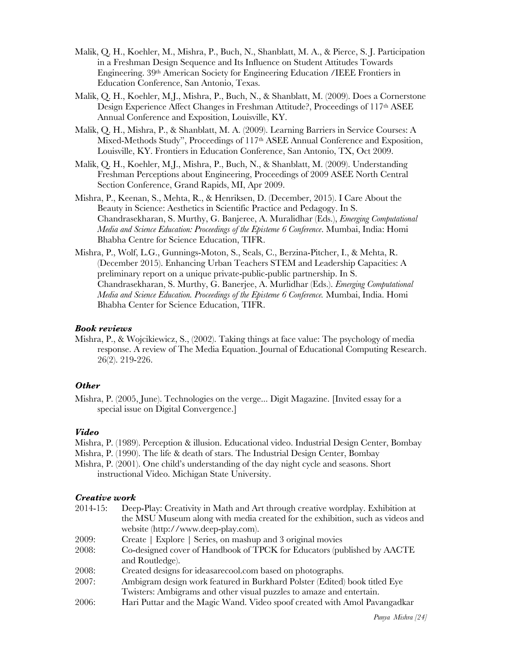- Malik, Q. H., Koehler, M., Mishra, P., Buch, N., Shanblatt, M. A., & Pierce, S. J. Participation in a Freshman Design Sequence and Its Influence on Student Attitudes Towards Engineering. 39th American Society for Engineering Education /IEEE Frontiers in Education Conference, San Antonio, Texas.
- Malik, Q. H., Koehler, M.J., Mishra, P., Buch, N., & Shanblatt, M. (2009). Does a Cornerstone Design Experience Affect Changes in Freshman Attitude?, Proceedings of 117<sup>th</sup> ASEE Annual Conference and Exposition, Louisville, KY.
- Malik, Q. H., Mishra, P., & Shanblatt, M. A. (2009). Learning Barriers in Service Courses: A Mixed-Methods Study", Proceedings of 117th ASEE Annual Conference and Exposition, Louisville, KY. Frontiers in Education Conference, San Antonio, TX, Oct 2009.
- Malik, Q. H., Koehler, M.J., Mishra, P., Buch, N., & Shanblatt, M. (2009). Understanding Freshman Perceptions about Engineering, Proceedings of 2009 ASEE North Central Section Conference, Grand Rapids, MI, Apr 2009.
- Mishra, P., Keenan, S., Mehta, R., & Henriksen, D. (December, 2015). I Care About the Beauty in Science: Aesthetics in Scientific Practice and Pedagogy. In S. Chandrasekharan, S. Murthy, G. Banjeree, A. Muralidhar (Eds.), *Emerging Computational Media and Science Education: Proceedings of the Episteme 6 Conference*. Mumbai, India: Homi Bhabha Centre for Science Education, TIFR.
- Mishra, P., Wolf, L.G., Gunnings-Moton, S., Seals, C., Berzina-Pitcher, I., & Mehta, R. (December 2015). Enhancing Urban Teachers STEM and Leadership Capacities: A preliminary report on a unique private-public-public partnership. In S. Chandrasekharan, S. Murthy, G. Banerjee, A. Murlidhar (Eds.). *Emerging Computational Media and Science Education. Proceedings of the Episteme 6 Conference.* Mumbai, India. Homi Bhabha Center for Science Education, TIFR.

## *Book reviews*

Mishra, P., & Wojcikiewicz, S., (2002). Taking things at face value: The psychology of media response. A review of The Media Equation. Journal of Educational Computing Research. 26(2). 219-226.

# *Other*

Mishra, P. (2005, June). Technologies on the verge... Digit Magazine. [Invited essay for a special issue on Digital Convergence.]

# *Video*

- Mishra, P. (1989). Perception & illusion. Educational video. Industrial Design Center, Bombay
- Mishra, P. (1990). The life & death of stars. The Industrial Design Center, Bombay
- Mishra, P. (2001). One child's understanding of the day night cycle and seasons. Short instructional Video. Michigan State University.

## *Creative work*

- 2014-15: Deep-Play: Creativity in Math and Art through creative wordplay. Exhibition at the MSU Museum along with media created for the exhibition, such as videos and website (http://www.deep-play.com). 2009: Create | Explore | Series, on mashup and 3 original movies 2008: Co-designed cover of Handbook of TPCK for Educators (published by AACTE and Routledge). 2008: Created designs for ideasarecool.com based on photographs. 2007: Ambigram design work featured in Burkhard Polster (Edited) book titled Eye Twisters: Ambigrams and other visual puzzles to amaze and entertain.
- 2006: Hari Puttar and the Magic Wand. Video spoof created with Amol Pavangadkar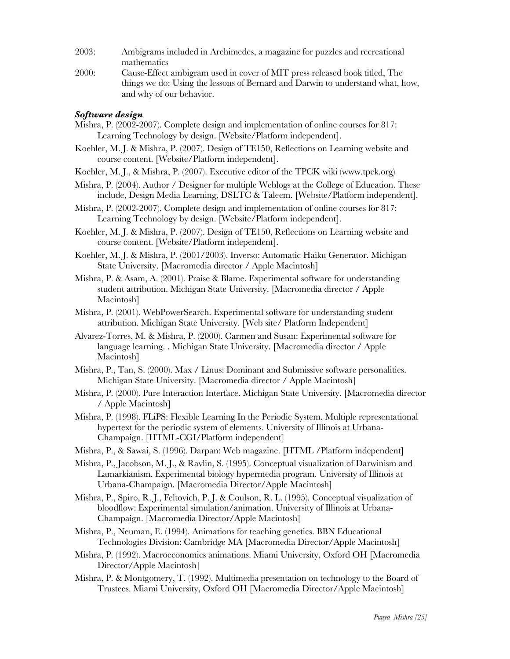- 2003: Ambigrams included in Archimedes, a magazine for puzzles and recreational mathematics
- 2000: Cause-Effect ambigram used in cover of MIT press released book titled, The things we do: Using the lessons of Bernard and Darwin to understand what, how, and why of our behavior.

# *Software design*

- Mishra, P. (2002-2007). Complete design and implementation of online courses for 817: Learning Technology by design. [Website/Platform independent].
- Koehler, M. J. & Mishra, P. (2007). Design of TE150, Reflections on Learning website and course content. [Website/Platform independent].
- Koehler, M. J., & Mishra, P. (2007). Executive editor of the TPCK wiki (www.tpck.org)
- Mishra, P. (2004). Author / Designer for multiple Weblogs at the College of Education. These include, Design Media Learning, DSLTC & Taleem. [Website/Platform independent].
- Mishra, P. (2002-2007). Complete design and implementation of online courses for 817: Learning Technology by design. [Website/Platform independent].
- Koehler, M. J. & Mishra, P. (2007). Design of TE150, Reflections on Learning website and course content. [Website/Platform independent].
- Koehler, M. J. & Mishra, P. (2001/2003). Inverso: Automatic Haiku Generator. Michigan State University. [Macromedia director / Apple Macintosh]
- Mishra, P. & Asam, A. (2001). Praise & Blame. Experimental software for understanding student attribution. Michigan State University. [Macromedia director / Apple Macintosh]
- Mishra, P. (2001). WebPowerSearch. Experimental software for understanding student attribution. Michigan State University. [Web site/ Platform Independent]
- Alvarez-Torres, M. & Mishra, P. (2000). Carmen and Susan: Experimental software for language learning. . Michigan State University. [Macromedia director / Apple Macintosh]
- Mishra, P., Tan, S. (2000). Max / Linus: Dominant and Submissive software personalities. Michigan State University. [Macromedia director / Apple Macintosh]
- Mishra, P. (2000). Pure Interaction Interface. Michigan State University. [Macromedia director / Apple Macintosh]
- Mishra, P. (1998). FLiPS: Flexible Learning In the Periodic System. Multiple representational hypertext for the periodic system of elements. University of Illinois at Urbana-Champaign. [HTML-CGI/Platform independent]
- Mishra, P., & Sawai, S. (1996). Darpan: Web magazine. [HTML /Platform independent]
- Mishra, P., Jacobson, M. J., & Ravlin, S. (1995). Conceptual visualization of Darwinism and Lamarkianism. Experimental biology hypermedia program. University of Illinois at Urbana-Champaign. [Macromedia Director/Apple Macintosh]
- Mishra, P., Spiro, R. J., Feltovich, P. J. & Coulson, R. L. (1995). Conceptual visualization of bloodflow: Experimental simulation/animation. University of Illinois at Urbana-Champaign. [Macromedia Director/Apple Macintosh]
- Mishra, P., Neuman, E. (1994). Animations for teaching genetics. BBN Educational Technologies Division: Cambridge MA [Macromedia Director/Apple Macintosh]
- Mishra, P. (1992). Macroeconomics animations. Miami University, Oxford OH [Macromedia Director/Apple Macintosh]
- Mishra, P. & Montgomery, T. (1992). Multimedia presentation on technology to the Board of Trustees. Miami University, Oxford OH [Macromedia Director/Apple Macintosh]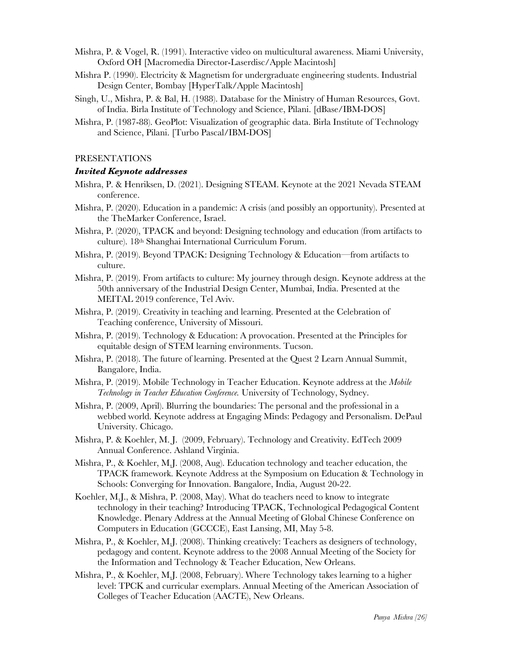- Mishra, P. & Vogel, R. (1991). Interactive video on multicultural awareness. Miami University, Oxford OH [Macromedia Director-Laserdisc/Apple Macintosh]
- Mishra P. (1990). Electricity & Magnetism for undergraduate engineering students. Industrial Design Center, Bombay [HyperTalk/Apple Macintosh]
- Singh, U., Mishra, P. & Bal, H. (1988). Database for the Ministry of Human Resources, Govt. of India. Birla Institute of Technology and Science, Pilani. [dBase/IBM-DOS]
- Mishra, P. (1987-88). GeoPlot: Visualization of geographic data. Birla Institute of Technology and Science, Pilani. [Turbo Pascal/IBM-DOS]

### PRESENTATIONS

### *Invited Keynote addresses*

- Mishra, P. & Henriksen, D. (2021). Designing STEAM. Keynote at the 2021 Nevada STEAM conference.
- Mishra, P. (2020). Education in a pandemic: A crisis (and possibly an opportunity). Presented at the TheMarker Conference, Israel.
- Mishra, P. (2020), TPACK and beyond: Designing technology and education (from artifacts to culture). 18th Shanghai International Curriculum Forum.
- Mishra, P. (2019). Beyond TPACK: Designing Technology & Education—from artifacts to culture.
- Mishra, P. (2019). From artifacts to culture: My journey through design. Keynote address at the 50th anniversary of the Industrial Design Center, Mumbai, India. Presented at the MEITAL 2019 conference, Tel Aviv.
- Mishra, P. (2019). Creativity in teaching and learning. Presented at the Celebration of Teaching conference, University of Missouri.
- Mishra, P. (2019). Technology & Education: A provocation. Presented at the Principles for equitable design of STEM learning environments. Tucson.
- Mishra, P. (2018). The future of learning. Presented at the Quest 2 Learn Annual Summit, Bangalore, India.
- Mishra, P. (2019). Mobile Technology in Teacher Education. Keynote address at the *Mobile Technology in Teacher Education Conference.* University of Technology, Sydney.
- Mishra, P. (2009, April). Blurring the boundaries: The personal and the professional in a webbed world. Keynote address at Engaging Minds: Pedagogy and Personalism. DePaul University. Chicago.
- Mishra, P. & Koehler, M. J. (2009, February). Technology and Creativity. EdTech 2009 Annual Conference. Ashland Virginia.
- Mishra, P., & Koehler, M.J. (2008, Aug). Education technology and teacher education, the TPACK framework. Keynote Address at the Symposium on Education & Technology in Schools: Converging for Innovation. Bangalore, India, August 20-22.
- Koehler, M.J., & Mishra, P. (2008, May). What do teachers need to know to integrate technology in their teaching? Introducing TPACK, Technological Pedagogical Content Knowledge. Plenary Address at the Annual Meeting of Global Chinese Conference on Computers in Education (GCCCE), East Lansing, MI, May 5-8.
- Mishra, P., & Koehler, M.J. (2008). Thinking creatively: Teachers as designers of technology, pedagogy and content. Keynote address to the 2008 Annual Meeting of the Society for the Information and Technology & Teacher Education, New Orleans.
- Mishra, P., & Koehler, M.J. (2008, February). Where Technology takes learning to a higher level: TPCK and curricular exemplars. Annual Meeting of the American Association of Colleges of Teacher Education (AACTE), New Orleans.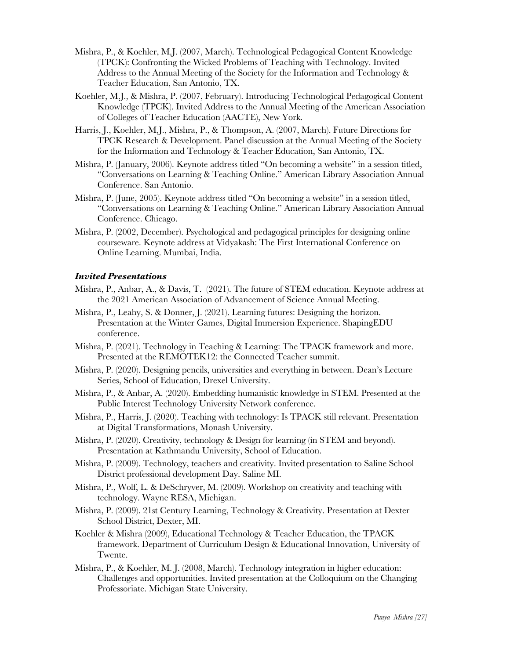- Mishra, P., & Koehler, M.J. (2007, March). Technological Pedagogical Content Knowledge (TPCK): Confronting the Wicked Problems of Teaching with Technology. Invited Address to the Annual Meeting of the Society for the Information and Technology & Teacher Education, San Antonio, TX.
- Koehler, M.J., & Mishra, P. (2007, February). Introducing Technological Pedagogical Content Knowledge (TPCK). Invited Address to the Annual Meeting of the American Association of Colleges of Teacher Education (AACTE), New York.
- Harris, J., Koehler, M.J., Mishra, P., & Thompson, A. (2007, March). Future Directions for TPCK Research & Development. Panel discussion at the Annual Meeting of the Society for the Information and Technology & Teacher Education, San Antonio, TX.
- Mishra, P. (January, 2006). Keynote address titled "On becoming a website" in a session titled, "Conversations on Learning & Teaching Online." American Library Association Annual Conference. San Antonio.
- Mishra, P. (June, 2005). Keynote address titled "On becoming a website" in a session titled, "Conversations on Learning & Teaching Online." American Library Association Annual Conference. Chicago.
- Mishra, P. (2002, December). Psychological and pedagogical principles for designing online courseware. Keynote address at Vidyakash: The First International Conference on Online Learning. Mumbai, India.

## *Invited Presentations*

- Mishra, P., Anbar, A., & Davis, T. (2021). The future of STEM education. Keynote address at the 2021 American Association of Advancement of Science Annual Meeting.
- Mishra, P., Leahy, S. & Donner, J. (2021). Learning futures: Designing the horizon. Presentation at the Winter Games, Digital Immersion Experience. ShapingEDU conference.
- Mishra, P. (2021). Technology in Teaching & Learning: The TPACK framework and more. Presented at the REMOTEK12: the Connected Teacher summit.
- Mishra, P. (2020). Designing pencils, universities and everything in between. Dean's Lecture Series, School of Education, Drexel University.
- Mishra, P., & Anbar, A. (2020). Embedding humanistic knowledge in STEM. Presented at the Public Interest Technology University Network conference.
- Mishra, P., Harris, J. (2020). Teaching with technology: Is TPACK still relevant. Presentation at Digital Transformations, Monash University.
- Mishra, P. (2020). Creativity, technology & Design for learning (in STEM and beyond). Presentation at Kathmandu University, School of Education.
- Mishra, P. (2009). Technology, teachers and creativity. Invited presentation to Saline School District professional development Day. Saline MI.
- Mishra, P., Wolf, L. & DeSchryver, M. (2009). Workshop on creativity and teaching with technology. Wayne RESA, Michigan.
- Mishra, P. (2009). 21st Century Learning, Technology & Creativity. Presentation at Dexter School District, Dexter, MI.
- Koehler & Mishra (2009), Educational Technology & Teacher Education, the TPACK framework. Department of Curriculum Design & Educational Innovation, University of Twente.
- Mishra, P., & Koehler, M. J. (2008, March). Technology integration in higher education: Challenges and opportunities. Invited presentation at the Colloquium on the Changing Professoriate. Michigan State University.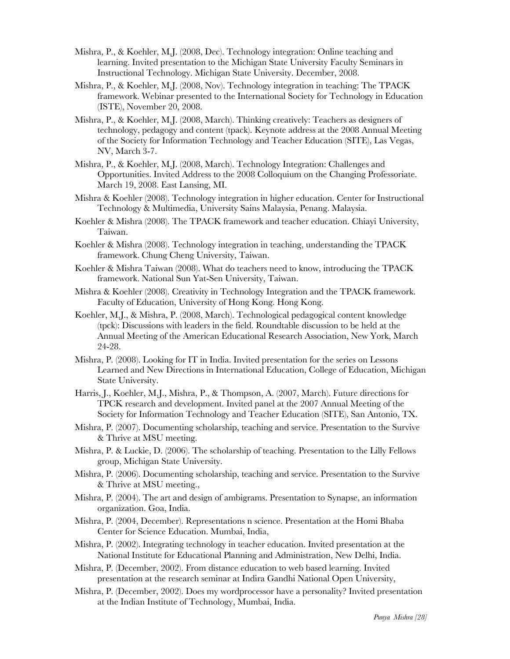- Mishra, P., & Koehler, M.J. (2008, Dec). Technology integration: Online teaching and learning. Invited presentation to the Michigan State University Faculty Seminars in Instructional Technology. Michigan State University. December, 2008.
- Mishra, P., & Koehler, M.J. (2008, Nov). Technology integration in teaching: The TPACK framework. Webinar presented to the International Society for Technology in Education (ISTE), November 20, 2008.
- Mishra, P., & Koehler, M.J. (2008, March). Thinking creatively: Teachers as designers of technology, pedagogy and content (tpack). Keynote address at the 2008 Annual Meeting of the Society for Information Technology and Teacher Education (SITE), Las Vegas, NV, March 3-7.
- Mishra, P., & Koehler, M.J. (2008, March). Technology Integration: Challenges and Opportunities. Invited Address to the 2008 Colloquium on the Changing Professoriate. March 19, 2008. East Lansing, MI.
- Mishra & Koehler (2008). Technology integration in higher education. Center for Instructional Technology & Multimedia, University Sains Malaysia, Penang. Malaysia.
- Koehler & Mishra (2008). The TPACK framework and teacher education. Chiayi University, Taiwan.
- Koehler & Mishra (2008). Technology integration in teaching, understanding the TPACK framework. Chung Cheng University, Taiwan.
- Koehler & Mishra Taiwan (2008). What do teachers need to know, introducing the TPACK framework. National Sun Yat-Sen University, Taiwan.
- Mishra & Koehler (2008). Creativity in Technology Integration and the TPACK framework. Faculty of Education, University of Hong Kong. Hong Kong.
- Koehler, M.J., & Mishra, P. (2008, March). Technological pedagogical content knowledge (tpck): Discussions with leaders in the field. Roundtable discussion to be held at the Annual Meeting of the American Educational Research Association, New York, March 24-28.
- Mishra, P. (2008). Looking for IT in India. Invited presentation for the series on Lessons Learned and New Directions in International Education, College of Education, Michigan State University.
- Harris, J., Koehler, M.J., Mishra, P., & Thompson, A. (2007, March). Future directions for TPCK research and development. Invited panel at the 2007 Annual Meeting of the Society for Information Technology and Teacher Education (SITE), San Antonio, TX.
- Mishra, P. (2007). Documenting scholarship, teaching and service. Presentation to the Survive & Thrive at MSU meeting.
- Mishra, P. & Luckie, D. (2006). The scholarship of teaching. Presentation to the Lilly Fellows group, Michigan State University.
- Mishra, P. (2006). Documenting scholarship, teaching and service. Presentation to the Survive & Thrive at MSU meeting.,
- Mishra, P. (2004). The art and design of ambigrams. Presentation to Synapse, an information organization. Goa, India.
- Mishra, P. (2004, December). Representations n science. Presentation at the Homi Bhaba Center for Science Education. Mumbai, India,
- Mishra, P. (2002). Integrating technology in teacher education. Invited presentation at the National Institute for Educational Planning and Administration, New Delhi, India.
- Mishra, P. (December, 2002). From distance education to web based learning. Invited presentation at the research seminar at Indira Gandhi National Open University,
- Mishra, P. (December, 2002). Does my wordprocessor have a personality? Invited presentation at the Indian Institute of Technology, Mumbai, India.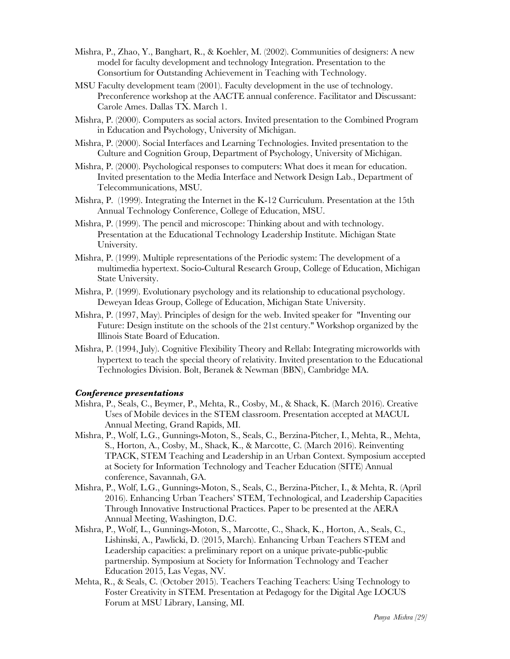- Mishra, P., Zhao, Y., Banghart, R., & Koehler, M. (2002). Communities of designers: A new model for faculty development and technology Integration. Presentation to the Consortium for Outstanding Achievement in Teaching with Technology.
- MSU Faculty development team (2001). Faculty development in the use of technology. Preconference workshop at the AACTE annual conference. Facilitator and Discussant: Carole Ames. Dallas TX. March 1.
- Mishra, P. (2000). Computers as social actors. Invited presentation to the Combined Program in Education and Psychology, University of Michigan.
- Mishra, P. (2000). Social Interfaces and Learning Technologies. Invited presentation to the Culture and Cognition Group, Department of Psychology, University of Michigan.
- Mishra, P. (2000). Psychological responses to computers: What does it mean for education. Invited presentation to the Media Interface and Network Design Lab., Department of Telecommunications, MSU.
- Mishra, P. (1999). Integrating the Internet in the K-12 Curriculum. Presentation at the 15th Annual Technology Conference, College of Education, MSU.
- Mishra, P. (1999). The pencil and microscope: Thinking about and with technology. Presentation at the Educational Technology Leadership Institute. Michigan State University.
- Mishra, P. (1999). Multiple representations of the Periodic system: The development of a multimedia hypertext. Socio-Cultural Research Group, College of Education, Michigan State University.
- Mishra, P. (1999). Evolutionary psychology and its relationship to educational psychology. Deweyan Ideas Group, College of Education, Michigan State University.
- Mishra, P. (1997, May). Principles of design for the web. Invited speaker for "Inventing our Future: Design institute on the schools of the 21st century." Workshop organized by the Illinois State Board of Education.
- Mishra, P. (1994, July). Cognitive Flexibility Theory and Rellab: Integrating microworlds with hypertext to teach the special theory of relativity. Invited presentation to the Educational Technologies Division. Bolt, Beranek & Newman (BBN), Cambridge MA.

## *Conference presentations*

- Mishra, P., Seals, C., Beymer, P., Mehta, R., Cosby, M., & Shack, K. (March 2016). Creative Uses of Mobile devices in the STEM classroom. Presentation accepted at MACUL Annual Meeting, Grand Rapids, MI.
- Mishra, P., Wolf, L.G., Gunnings-Moton, S., Seals, C., Berzina-Pitcher, I., Mehta, R., Mehta, S., Horton, A., Cosby, M., Shack, K., & Marcotte, C. (March 2016). Reinventing TPACK, STEM Teaching and Leadership in an Urban Context. Symposium accepted at Society for Information Technology and Teacher Education (SITE) Annual conference, Savannah, GA.
- Mishra, P., Wolf, L.G., Gunnings-Moton, S., Seals, C., Berzina-Pitcher, I., & Mehta, R. (April 2016). Enhancing Urban Teachers' STEM, Technological, and Leadership Capacities Through Innovative Instructional Practices. Paper to be presented at the AERA Annual Meeting, Washington, D.C.
- Mishra, P., Wolf, L., Gunnings-Moton, S., Marcotte, C., Shack, K., Horton, A., Seals, C., Lishinski, A., Pawlicki, D. (2015, March). Enhancing Urban Teachers STEM and Leadership capacities: a preliminary report on a unique private-public-public partnership. Symposium at Society for Information Technology and Teacher Education 2015, Las Vegas, NV.
- Mehta, R., & Seals, C. (October 2015). Teachers Teaching Teachers: Using Technology to Foster Creativity in STEM. Presentation at Pedagogy for the Digital Age LOCUS Forum at MSU Library, Lansing, MI.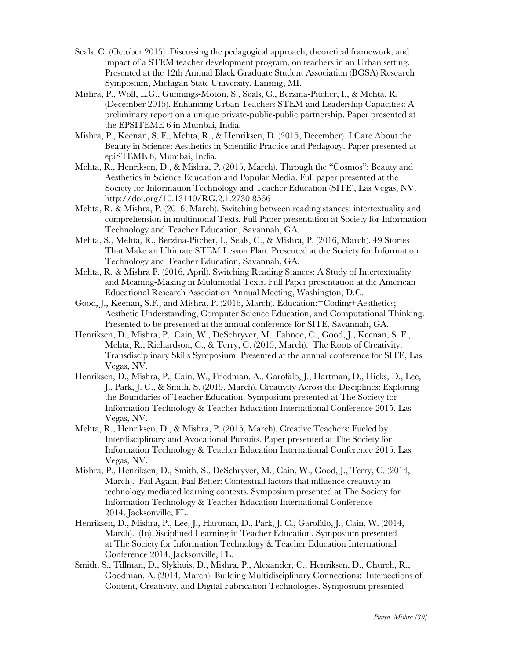- Seals, C. (October 2015). Discussing the pedagogical approach, theoretical framework, and impact of a STEM teacher development program, on teachers in an Urban setting. Presented at the 12th Annual Black Graduate Student Association (BGSA) Research Symposium, Michigan State University, Lansing, MI.
- Mishra, P., Wolf, L.G., Gunnings-Moton, S., Seals, C., Berzina-Pitcher, I., & Mehta, R. (December 2015). Enhancing Urban Teachers STEM and Leadership Capacities: A preliminary report on a unique private-public-public partnership. Paper presented at the EPSITEME 6 in Mumbai, India.
- Mishra, P., Keenan, S. F., Mehta, R., & Henriksen, D. (2015, December). I Care About the Beauty in Science: Aesthetics in Scientific Practice and Pedagogy. Paper presented at epiSTEME 6, Mumbai, India.
- Mehta, R., Henriksen, D., & Mishra, P. (2015, March). Through the "Cosmos": Beauty and Aesthetics in Science Education and Popular Media. Full paper presented at the Society for Information Technology and Teacher Education (SITE), Las Vegas, NV. http://doi.org/10.13140/RG.2.1.2730.8566
- Mehta, R. & Mishra, P. (2016, March). Switching between reading stances: intertextuality and comprehension in multimodal Texts. Full Paper presentation at Society for Information Technology and Teacher Education, Savannah, GA.
- Mehta, S., Mehta, R., Berzina-Pitcher, I., Seals, C., & Mishra, P. (2016, March). 49 Stories That Make an Ultimate STEM Lesson Plan. Presented at the Society for Information Technology and Teacher Education, Savannah, GA.
- Mehta, R. & Mishra P. (2016, April). Switching Reading Stances: A Study of Intertextuality and Meaning-Making in Multimodal Texts. Full Paper presentation at the American Educational Research Association Annual Meeting, Washington, D.C.
- Good, J., Keenan, S.F., and Mishra, P. (2016, March). Education:=Coding+Aesthetics; Aesthetic Understanding, Computer Science Education, and Computational Thinking. Presented to be presented at the annual conference for SITE, Savannah, GA.
- Henriksen, D., Mishra, P., Cain, W., DeSchryver, M., Fahnoe, C., Good, J., Keenan, S. F., Mehta, R., Richardson, C., & Terry, C. (2015, March). The Roots of Creativity: Transdisciplinary Skills Symposium. Presented at the annual conference for SITE, Las Vegas, NV.
- Henriksen, D., Mishra, P., Cain, W., Friedman, A., Garofalo, J., Hartman, D., Hicks, D., Lee, J., Park, J. C., & Smith, S. (2015, March). Creativity Across the Disciplines: Exploring the Boundaries of Teacher Education. Symposium presented at The Society for Information Technology & Teacher Education International Conference 2015. Las Vegas, NV.
- Mehta, R., Henriksen, D., & Mishra, P. (2015, March). Creative Teachers: Fueled by Interdisciplinary and Avocational Pursuits. Paper presented at The Society for Information Technology & Teacher Education International Conference 2015. Las Vegas, NV.
- Mishra, P., Henriksen, D., Smith, S., DeSchryver, M., Cain, W., Good, J., Terry, C. (2014, March). Fail Again, Fail Better: Contextual factors that influence creativity in technology mediated learning contexts. Symposium presented at The Society for Information Technology & Teacher Education International Conference 2014. Jacksonville, FL.
- Henriksen, D., Mishra, P., Lee, J., Hartman, D., Park, J. C., Garofalo, J., Cain, W. (2014, March). (In)Disciplined Learning in Teacher Education. Symposium presented at The Society for Information Technology & Teacher Education International Conference 2014. Jacksonville, FL.
- Smith, S., Tillman, D., Slykhuis, D., Mishra, P., Alexander, C., Henriksen, D., Church, R., Goodman, A. (2014, March). Building Multidisciplinary Connections: Intersections of Content, Creativity, and Digital Fabrication Technologies. Symposium presented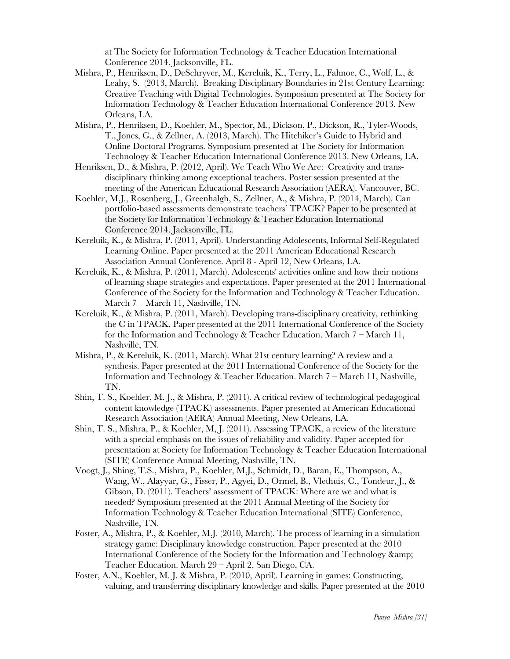at The Society for Information Technology & Teacher Education International Conference 2014. Jacksonville, FL.

- Mishra, P., Henriksen, D., DeSchryver, M., Kereluik, K., Terry, L., Fahnoe, C., Wolf, L., & Leahy, S. (2013, March). Breaking Disciplinary Boundaries in 21st Century Learning: Creative Teaching with Digital Technologies. Symposium presented at The Society for Information Technology & Teacher Education International Conference 2013. New Orleans, LA.
- Mishra, P., Henriksen, D., Koehler, M., Spector, M., Dickson, P., Dickson, R., Tyler-Woods, T., Jones, G., & Zellner, A. (2013, March). The Hitchiker's Guide to Hybrid and Online Doctoral Programs. Symposium presented at The Society for Information Technology & Teacher Education International Conference 2013. New Orleans, LA.
- Henriksen, D., & Mishra, P. (2012, April). We Teach Who We Are: Creativity and transdisciplinary thinking among exceptional teachers. Poster session presented at the meeting of the American Educational Research Association (AERA). Vancouver, BC.
- Koehler, M.J., Rosenberg, J., Greenhalgh, S., Zellner, A., & Mishra, P. (2014, March). Can portfolio-based assessments demonstrate teachers' TPACK? Paper to be presented at the Society for Information Technology & Teacher Education International Conference 2014. Jacksonville, FL.
- Kereluik, K., & Mishra, P. (2011, April). Understanding Adolescents' Informal Self-Regulated Learning Online. Paper presented at the 2011 American Educational Research Association Annual Conference. April 8 - April 12, New Orleans, LA.
- Kereluik, K., & Mishra, P. (2011, March). Adolescents' activities online and how their notions of learning shape strategies and expectations. Paper presented at the 2011 International Conference of the Society for the Information and Technology & Teacher Education. March 7 – March 11, Nashville, TN.
- Kereluik, K., & Mishra, P. (2011, March). Developing trans-disciplinary creativity, rethinking the C in TPACK. Paper presented at the 2011 International Conference of the Society for the Information and Technology & Teacher Education. March 7 – March 11, Nashville, TN.
- Mishra, P., & Kereluik, K. (2011, March). What 21st century learning? A review and a synthesis. Paper presented at the 2011 International Conference of the Society for the Information and Technology & Teacher Education. March 7 – March 11, Nashville, TN.
- Shin, T. S., Koehler, M. J., & Mishra, P. (2011). A critical review of technological pedagogical content knowledge (TPACK) assessments. Paper presented at American Educational Research Association (AERA) Annual Meeting, New Orleans, LA.
- Shin, T. S., Mishra, P., & Koehler, M, J. (2011). Assessing TPACK, a review of the literature with a special emphasis on the issues of reliability and validity. Paper accepted for presentation at Society for Information Technology & Teacher Education International (SITE) Conference Annual Meeting, Nashville, TN.
- Voogt, J., Shing, T.S., Mishra, P., Koehler, M.J., Schmidt, D., Baran, E., Thompson, A., Wang, W., Alayyar, G., Fisser, P., Agyei, D., Ormel, B., Vlethuis, C., Tondeur, J., & Gibson, D. (2011). Teachers' assessment of TPACK: Where are we and what is needed? Symposium presented at the 2011 Annual Meeting of the Society for Information Technology & Teacher Education International (SITE) Conference, Nashville, TN.
- Foster, A., Mishra, P., & Koehler, M.J. (2010, March). The process of learning in a simulation strategy game: Disciplinary knowledge construction. Paper presented at the 2010 International Conference of the Society for the Information and Technology & Teacher Education. March 29 – April 2, San Diego, CA.
- Foster, A.N., Koehler, M. J. & Mishra, P. (2010, April). Learning in games: Constructing, valuing, and transferring disciplinary knowledge and skills. Paper presented at the 2010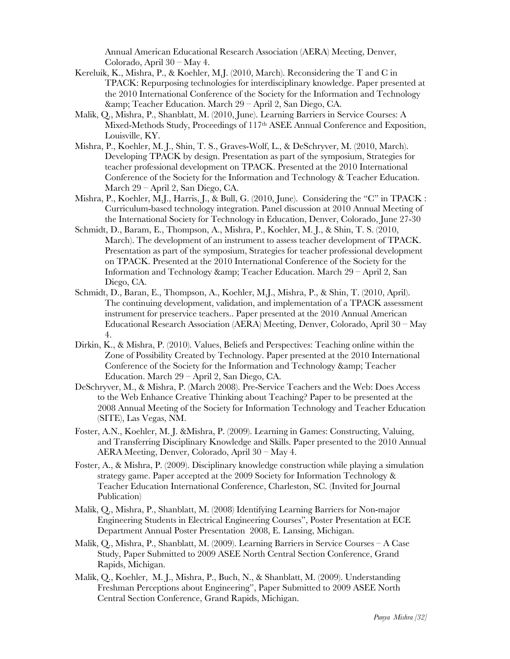Annual American Educational Research Association (AERA) Meeting, Denver, Colorado, April 30 – May 4.

- Kereluik, K., Mishra, P., & Koehler, M.J. (2010, March). Reconsidering the T and C in TPACK: Repurposing technologies for interdisciplinary knowledge. Paper presented at the 2010 International Conference of the Society for the Information and Technology & amp; Teacher Education. March 29 – April 2, San Diego, CA.
- Malik, Q., Mishra, P., Shanblatt, M. (2010, June). Learning Barriers in Service Courses: A Mixed-Methods Study, Proceedings of 117th ASEE Annual Conference and Exposition, Louisville, KY.
- Mishra, P., Koehler, M. J., Shin, T. S., Graves-Wolf, L., & DeSchryver, M. (2010, March). Developing TPACK by design. Presentation as part of the symposium, Strategies for teacher professional development on TPACK. Presented at the 2010 International Conference of the Society for the Information and Technology & Teacher Education. March 29 – April 2, San Diego, CA.
- Mishra, P., Koehler, M.J., Harris, J., & Bull, G. (2010, June). Considering the "C" in TPACK : Curriculum-based technology integration. Panel discussion at 2010 Annual Meeting of the International Society for Technology in Education, Denver, Colorado, June 27-30
- Schmidt, D., Baram, E., Thompson, A., Mishra, P., Koehler, M. J., & Shin, T. S. (2010, March). The development of an instrument to assess teacher development of TPACK. Presentation as part of the symposium, Strategies for teacher professional development on TPACK. Presented at the 2010 International Conference of the Society for the Information and Technology & amp; Teacher Education. March  $29 -$ April 2, San Diego, CA.
- Schmidt, D., Baran, E., Thompson, A., Koehler, M.J., Mishra, P., & Shin, T. (2010, April). The continuing development, validation, and implementation of a TPACK assessment instrument for preservice teachers.. Paper presented at the 2010 Annual American Educational Research Association (AERA) Meeting, Denver, Colorado, April 30 – May 4.
- Dirkin, K., & Mishra, P. (2010). Values, Beliefs and Perspectives: Teaching online within the Zone of Possibility Created by Technology. Paper presented at the 2010 International Conference of the Society for the Information and Technology & amp; Teacher Education. March 29 – April 2, San Diego, CA.
- DeSchryver, M., & Mishra, P. (March 2008). Pre-Service Teachers and the Web: Does Access to the Web Enhance Creative Thinking about Teaching? Paper to be presented at the 2008 Annual Meeting of the Society for Information Technology and Teacher Education (SITE), Las Vegas, NM.
- Foster, A.N., Koehler, M. J. &Mishra, P. (2009). Learning in Games: Constructing, Valuing, and Transferring Disciplinary Knowledge and Skills. Paper presented to the 2010 Annual AERA Meeting, Denver, Colorado, April 30 – May 4.
- Foster, A., & Mishra, P. (2009). Disciplinary knowledge construction while playing a simulation strategy game. Paper accepted at the 2009 Society for Information Technology & Teacher Education International Conference, Charleston, SC. (Invited for Journal Publication)
- Malik, Q., Mishra, P., Shanblatt, M. (2008) Identifying Learning Barriers for Non-major Engineering Students in Electrical Engineering Courses", Poster Presentation at ECE Department Annual Poster Presentation 2008, E. Lansing, Michigan.
- Malik, Q., Mishra, P., Shanblatt, M. (2009). Learning Barriers in Service Courses A Case Study, Paper Submitted to 2009 ASEE North Central Section Conference, Grand Rapids, Michigan.
- Malik, Q., Koehler, M. J., Mishra, P., Buch, N., & Shanblatt, M. (2009). Understanding Freshman Perceptions about Engineering", Paper Submitted to 2009 ASEE North Central Section Conference, Grand Rapids, Michigan.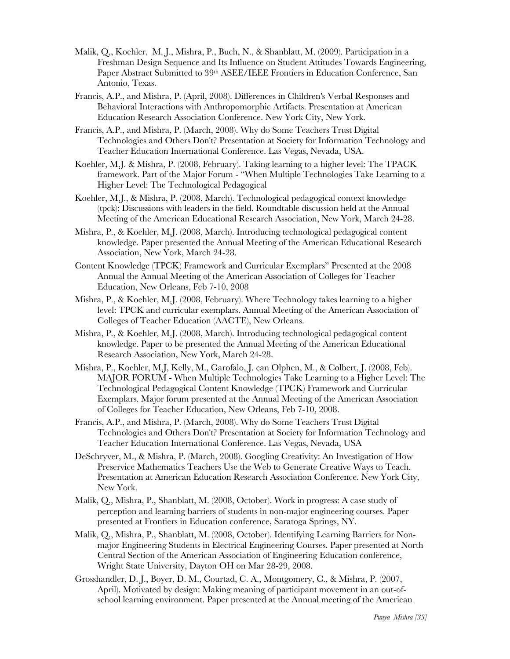- Malik, Q., Koehler, M. J., Mishra, P., Buch, N., & Shanblatt, M. (2009). Participation in a Freshman Design Sequence and Its Influence on Student Attitudes Towards Engineering, Paper Abstract Submitted to 39<sup>th</sup> ASEE/IEEE Frontiers in Education Conference, San Antonio, Texas.
- Francis, A.P., and Mishra, P. (April, 2008). Differences in Children's Verbal Responses and Behavioral Interactions with Anthropomorphic Artifacts. Presentation at American Education Research Association Conference. New York City, New York.
- Francis, A.P., and Mishra, P. (March, 2008). Why do Some Teachers Trust Digital Technologies and Others Don't? Presentation at Society for Information Technology and Teacher Education International Conference. Las Vegas, Nevada, USA.
- Koehler, M.J. & Mishra, P. (2008, February). Taking learning to a higher level: The TPACK framework. Part of the Major Forum - "When Multiple Technologies Take Learning to a Higher Level: The Technological Pedagogical
- Koehler, M.J., & Mishra, P. (2008, March). Technological pedagogical context knowledge (tpck): Discussions with leaders in the field. Roundtable discussion held at the Annual Meeting of the American Educational Research Association, New York, March 24-28.
- Mishra, P., & Koehler, M.J. (2008, March). Introducing technological pedagogical content knowledge. Paper presented the Annual Meeting of the American Educational Research Association, New York, March 24-28.
- Content Knowledge (TPCK) Framework and Curricular Exemplars" Presented at the 2008 Annual the Annual Meeting of the American Association of Colleges for Teacher Education, New Orleans, Feb 7-10, 2008
- Mishra, P., & Koehler, M.J. (2008, February). Where Technology takes learning to a higher level: TPCK and curricular exemplars. Annual Meeting of the American Association of Colleges of Teacher Education (AACTE), New Orleans.
- Mishra, P., & Koehler, M.J. (2008, March). Introducing technological pedagogical content knowledge. Paper to be presented the Annual Meeting of the American Educational Research Association, New York, March 24-28.
- Mishra, P., Koehler, M.J, Kelly, M., Garofalo, J. can Olphen, M., & Colbert, J. (2008, Feb). MAJOR FORUM - When Multiple Technologies Take Learning to a Higher Level: The Technological Pedagogical Content Knowledge (TPCK) Framework and Curricular Exemplars. Major forum presented at the Annual Meeting of the American Association of Colleges for Teacher Education, New Orleans, Feb 7-10, 2008.
- Francis, A.P., and Mishra, P. (March, 2008). Why do Some Teachers Trust Digital Technologies and Others Don't? Presentation at Society for Information Technology and Teacher Education International Conference. Las Vegas, Nevada, USA
- DeSchryver, M., & Mishra, P. (March, 2008). Googling Creativity: An Investigation of How Preservice Mathematics Teachers Use the Web to Generate Creative Ways to Teach. Presentation at American Education Research Association Conference. New York City, New York.
- Malik, Q., Mishra, P., Shanblatt, M. (2008, October). Work in progress: A case study of perception and learning barriers of students in non-major engineering courses. Paper presented at Frontiers in Education conference, Saratoga Springs, NY.
- Malik, Q., Mishra, P., Shanblatt, M. (2008, October). Identifying Learning Barriers for Nonmajor Engineering Students in Electrical Engineering Courses. Paper presented at North Central Section of the American Association of Engineering Education conference, Wright State University, Dayton OH on Mar 28-29, 2008.
- Grosshandler, D. J., Boyer, D. M., Courtad, C. A., Montgomery, C., & Mishra, P. (2007, April). Motivated by design: Making meaning of participant movement in an out-ofschool learning environment. Paper presented at the Annual meeting of the American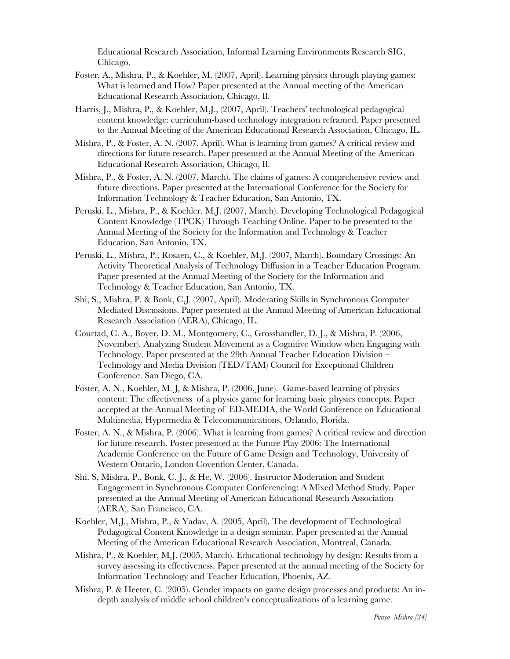Educational Research Association, Informal Learning Environments Research SIG, Chicago.

- Foster, A., Mishra, P., & Koehler, M. (2007, April). Learning physics through playing games: What is learned and How? Paper presented at the Annual meeting of the American Educational Research Association, Chicago, Il.
- Harris, J., Mishra, P., & Koehler, M.J., (2007, April). Teachers' technological pedagogical content knowledge: curriculum-based technology integration reframed. Paper presented to the Annual Meeting of the American Educational Research Association, Chicago, IL.
- Mishra, P., & Foster, A. N. (2007, April). What is learning from games? A critical review and directions for future research. Paper presented at the Annual Meeting of the American Educational Research Association, Chicago, Il.
- Mishra, P., & Foster, A. N. (2007, March). The claims of games: A comprehensive review and future directions. Paper presented at the International Conference for the Society for Information Technology & Teacher Education, San Antonio, TX.
- Peruski, L., Mishra, P., & Koehler, M.J. (2007, March). Developing Technological Pedagogical Content Knowledge (TPCK) Through Teaching Online. Paper to be presented to the Annual Meeting of the Society for the Information and Technology & Teacher Education, San Antonio, TX.
- Peruski, L., Mishra, P., Rosaen, C., & Koehler, M.J. (2007, March). Boundary Crossings: An Activity Theoretical Analysis of Technology Diffusion in a Teacher Education Program. Paper presented at the Annual Meeting of the Society for the Information and Technology & Teacher Education, San Antonio, TX.
- Shi, S., Mishra, P. & Bonk, C.J. (2007, April). Moderating Skills in Synchronous Computer Mediated Discussions. Paper presented at the Annual Meeting of American Educational Research Association (AERA), Chicago, IL.
- Courtad, C. A., Boyer, D. M., Montgomery, C., Grosshandler, D. J., & Mishra, P. (2006, November). Analyzing Student Movement as a Cognitive Window when Engaging with Technology. Paper presented at the 29th Annual Teacher Education Division – Technology and Media Division (TED/TAM) Council for Exceptional Children Conference. San Diego, CA.
- Foster, A. N., Koehler, M. J, & Mishra, P. (2006, June). Game-based learning of physics content: The effectiveness of a physics game for learning basic physics concepts. Paper accepted at the Annual Meeting of ED-MEDIA, the World Conference on Educational Multimedia, Hypermedia & Telecommunications, Orlando, Florida.
- Foster, A. N., & Mishra, P. (2006). What is learning from games? A critical review and direction for future research. Poster presented at the Future Play 2006: The International Academic Conference on the Future of Game Design and Technology, University of Western Ontario, London Covention Center, Canada.
- Shi. S, Mishra, P., Bonk, C. J., & He, W. (2006). Instructor Moderation and Student Engagement in Synchronous Computer Conferencing: A Mixed Method Study. Paper presented at the Annual Meeting of American Educational Research Association (AERA), San Francisco, CA.
- Koehler, M.J., Mishra, P., & Yadav, A. (2005, April). The development of Technological Pedagogical Content Knowledge in a design seminar. Paper presented at the Annual Meeting of the American Educational Research Association, Montreal, Canada.
- Mishra, P., & Koehler, M.J. (2005, March). Educational technology by design: Results from a survey assessing its effectiveness. Paper presented at the annual meeting of the Society for Information Technology and Teacher Education, Phoenix, AZ.
- Mishra, P. & Heeter, C. (2005). Gender impacts on game design processes and products: An indepth analysis of middle school children's conceptualizations of a learning game.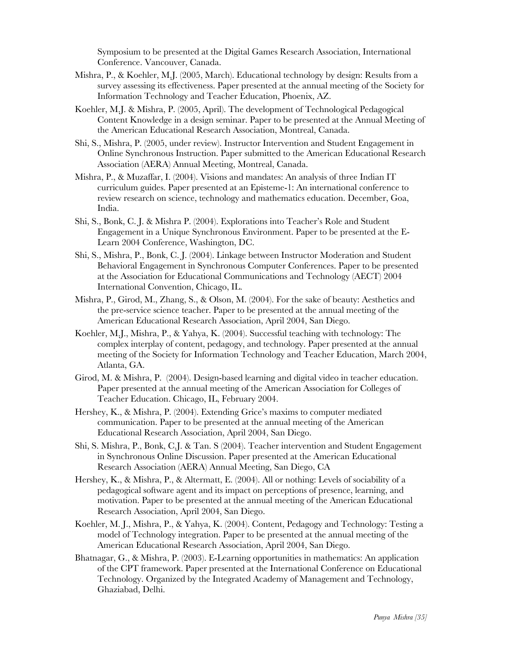Symposium to be presented at the Digital Games Research Association, International Conference. Vancouver, Canada.

- Mishra, P., & Koehler, M.J. (2005, March). Educational technology by design: Results from a survey assessing its effectiveness. Paper presented at the annual meeting of the Society for Information Technology and Teacher Education, Phoenix, AZ.
- Koehler, M.J. & Mishra, P. (2005, April). The development of Technological Pedagogical Content Knowledge in a design seminar. Paper to be presented at the Annual Meeting of the American Educational Research Association, Montreal, Canada.
- Shi, S., Mishra, P. (2005, under review). Instructor Intervention and Student Engagement in Online Synchronous Instruction. Paper submitted to the American Educational Research Association (AERA) Annual Meeting, Montreal, Canada.
- Mishra, P., & Muzaffar, I. (2004). Visions and mandates: An analysis of three Indian IT curriculum guides. Paper presented at an Episteme-1: An international conference to review research on science, technology and mathematics education. December, Goa, India.
- Shi, S., Bonk, C. J. & Mishra P. (2004). Explorations into Teacher's Role and Student Engagement in a Unique Synchronous Environment. Paper to be presented at the E-Learn 2004 Conference, Washington, DC.
- Shi, S., Mishra, P., Bonk, C. J. (2004). Linkage between Instructor Moderation and Student Behavioral Engagement in Synchronous Computer Conferences. Paper to be presented at the Association for Educational Communications and Technology (AECT) 2004 International Convention, Chicago, IL.
- Mishra, P., Girod, M., Zhang, S., & Olson, M. (2004). For the sake of beauty: Aesthetics and the pre-service science teacher. Paper to be presented at the annual meeting of the American Educational Research Association, April 2004, San Diego.
- Koehler, M.J., Mishra, P., & Yahya, K. (2004). Successful teaching with technology: The complex interplay of content, pedagogy, and technology. Paper presented at the annual meeting of the Society for Information Technology and Teacher Education, March 2004, Atlanta, GA.
- Girod, M. & Mishra, P. (2004). Design-based learning and digital video in teacher education. Paper presented at the annual meeting of the American Association for Colleges of Teacher Education. Chicago, IL, February 2004.
- Hershey, K., & Mishra, P. (2004). Extending Grice's maxims to computer mediated communication. Paper to be presented at the annual meeting of the American Educational Research Association, April 2004, San Diego.
- Shi, S. Mishra, P., Bonk, C.J. & Tan. S (2004). Teacher intervention and Student Engagement in Synchronous Online Discussion. Paper presented at the American Educational Research Association (AERA) Annual Meeting, San Diego, CA
- Hershey, K., & Mishra, P., & Altermatt, E. (2004). All or nothing: Levels of sociability of a pedagogical software agent and its impact on perceptions of presence, learning, and motivation. Paper to be presented at the annual meeting of the American Educational Research Association, April 2004, San Diego.
- Koehler, M. J., Mishra, P., & Yahya, K. (2004). Content, Pedagogy and Technology: Testing a model of Technology integration. Paper to be presented at the annual meeting of the American Educational Research Association, April 2004, San Diego.
- Bhatnagar, G., & Mishra, P. (2003). E-Learning opportunities in mathematics: An application of the CPT framework. Paper presented at the International Conference on Educational Technology. Organized by the Integrated Academy of Management and Technology, Ghaziabad, Delhi.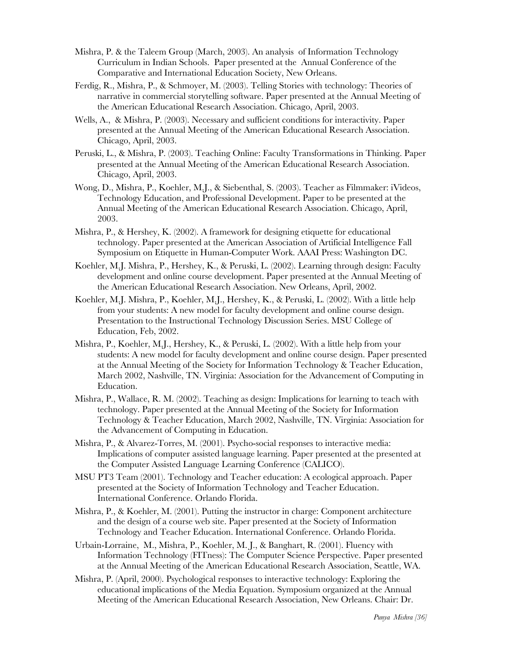- Mishra, P. & the Taleem Group (March, 2003). An analysis of Information Technology Curriculum in Indian Schools. Paper presented at the Annual Conference of the Comparative and International Education Society, New Orleans.
- Ferdig, R., Mishra, P., & Schmoyer, M. (2003). Telling Stories with technology: Theories of narrative in commercial storytelling software. Paper presented at the Annual Meeting of the American Educational Research Association. Chicago, April, 2003.
- Wells, A., & Mishra, P. (2003). Necessary and sufficient conditions for interactivity. Paper presented at the Annual Meeting of the American Educational Research Association. Chicago, April, 2003.
- Peruski, L., & Mishra, P. (2003). Teaching Online: Faculty Transformations in Thinking. Paper presented at the Annual Meeting of the American Educational Research Association. Chicago, April, 2003.
- Wong, D., Mishra, P., Koehler, M.J., & Siebenthal, S. (2003). Teacher as Filmmaker: iVideos, Technology Education, and Professional Development. Paper to be presented at the Annual Meeting of the American Educational Research Association. Chicago, April, 2003.
- Mishra, P., & Hershey, K. (2002). A framework for designing etiquette for educational technology. Paper presented at the American Association of Artificial Intelligence Fall Symposium on Etiquette in Human-Computer Work. AAAI Press: Washington DC.
- Koehler, M.J. Mishra, P., Hershey, K., & Peruski, L. (2002). Learning through design: Faculty development and online course development. Paper presented at the Annual Meeting of the American Educational Research Association. New Orleans, April, 2002.
- Koehler, M.J. Mishra, P., Koehler, M.J., Hershey, K., & Peruski, L. (2002). With a little help from your students: A new model for faculty development and online course design. Presentation to the Instructional Technology Discussion Series. MSU College of Education, Feb, 2002.
- Mishra, P., Koehler, M.J., Hershey, K., & Peruski, L. (2002). With a little help from your students: A new model for faculty development and online course design. Paper presented at the Annual Meeting of the Society for Information Technology & Teacher Education, March 2002, Nashville, TN. Virginia: Association for the Advancement of Computing in Education.
- Mishra, P., Wallace, R. M. (2002). Teaching as design: Implications for learning to teach with technology. Paper presented at the Annual Meeting of the Society for Information Technology & Teacher Education, March 2002, Nashville, TN. Virginia: Association for the Advancement of Computing in Education.
- Mishra, P., & Alvarez-Torres, M. (2001). Psycho-social responses to interactive media: Implications of computer assisted language learning. Paper presented at the presented at the Computer Assisted Language Learning Conference (CALICO).
- MSU PT3 Team (2001). Technology and Teacher education: A ecological approach. Paper presented at the Society of Information Technology and Teacher Education. International Conference. Orlando Florida.
- Mishra, P., & Koehler, M. (2001). Putting the instructor in charge: Component architecture and the design of a course web site. Paper presented at the Society of Information Technology and Teacher Education. International Conference. Orlando Florida.
- Urbain-Lorraine, M., Mishra, P., Koehler, M. J., & Banghart, R. (2001). Fluency with Information Technology (FITness): The Computer Science Perspective. Paper presented at the Annual Meeting of the American Educational Research Association, Seattle, WA.
- Mishra, P. (April, 2000). Psychological responses to interactive technology: Exploring the educational implications of the Media Equation. Symposium organized at the Annual Meeting of the American Educational Research Association, New Orleans. Chair: Dr.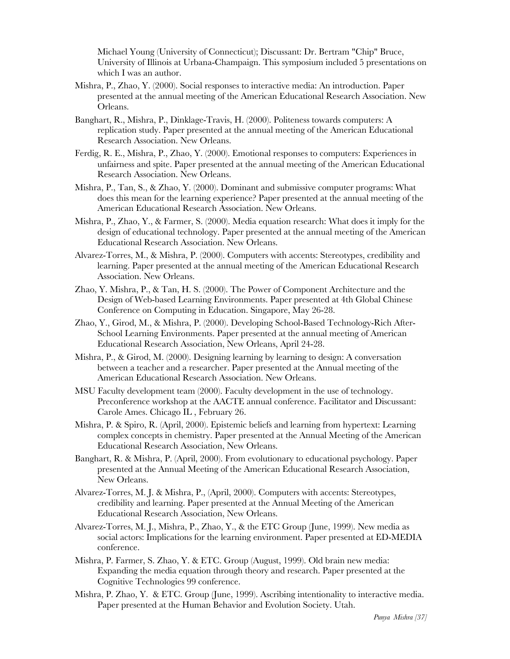Michael Young (University of Connecticut); Discussant: Dr. Bertram "Chip" Bruce, University of Illinois at Urbana-Champaign. This symposium included 5 presentations on which I was an author.

- Mishra, P., Zhao, Y. (2000). Social responses to interactive media: An introduction. Paper presented at the annual meeting of the American Educational Research Association. New Orleans.
- Banghart, R., Mishra, P., Dinklage-Travis, H. (2000). Politeness towards computers: A replication study. Paper presented at the annual meeting of the American Educational Research Association. New Orleans.
- Ferdig, R. E., Mishra, P., Zhao, Y. (2000). Emotional responses to computers: Experiences in unfairness and spite. Paper presented at the annual meeting of the American Educational Research Association. New Orleans.
- Mishra, P., Tan, S., & Zhao, Y. (2000). Dominant and submissive computer programs: What does this mean for the learning experience? Paper presented at the annual meeting of the American Educational Research Association. New Orleans.
- Mishra, P., Zhao, Y., & Farmer, S. (2000). Media equation research: What does it imply for the design of educational technology. Paper presented at the annual meeting of the American Educational Research Association. New Orleans.
- Alvarez-Torres, M., & Mishra, P. (2000). Computers with accents: Stereotypes, credibility and learning. Paper presented at the annual meeting of the American Educational Research Association. New Orleans.
- Zhao, Y. Mishra, P., & Tan, H. S. (2000). The Power of Component Architecture and the Design of Web-based Learning Environments. Paper presented at 4th Global Chinese Conference on Computing in Education. Singapore, May 26-28.
- Zhao, Y., Girod, M., & Mishra, P. (2000). Developing School-Based Technology-Rich After-School Learning Environments. Paper presented at the annual meeting of American Educational Research Association, New Orleans, April 24-28.
- Mishra, P., & Girod, M. (2000). Designing learning by learning to design: A conversation between a teacher and a researcher. Paper presented at the Annual meeting of the American Educational Research Association. New Orleans.
- MSU Faculty development team (2000). Faculty development in the use of technology. Preconference workshop at the AACTE annual conference. Facilitator and Discussant: Carole Ames. Chicago IL , February 26.
- Mishra, P. & Spiro, R. (April, 2000). Epistemic beliefs and learning from hypertext: Learning complex concepts in chemistry. Paper presented at the Annual Meeting of the American Educational Research Association, New Orleans.
- Banghart, R. & Mishra, P. (April, 2000). From evolutionary to educational psychology. Paper presented at the Annual Meeting of the American Educational Research Association, New Orleans.
- Alvarez-Torres, M. J. & Mishra, P., (April, 2000). Computers with accents: Stereotypes, credibility and learning. Paper presented at the Annual Meeting of the American Educational Research Association, New Orleans.
- Alvarez-Torres, M. J., Mishra, P., Zhao, Y., & the ETC Group (June, 1999). New media as social actors: Implications for the learning environment. Paper presented at ED-MEDIA conference.
- Mishra, P. Farmer, S. Zhao, Y. & ETC. Group (August, 1999). Old brain new media: Expanding the media equation through theory and research. Paper presented at the Cognitive Technologies 99 conference.
- Mishra, P. Zhao, Y. & ETC. Group (June, 1999). Ascribing intentionality to interactive media. Paper presented at the Human Behavior and Evolution Society. Utah.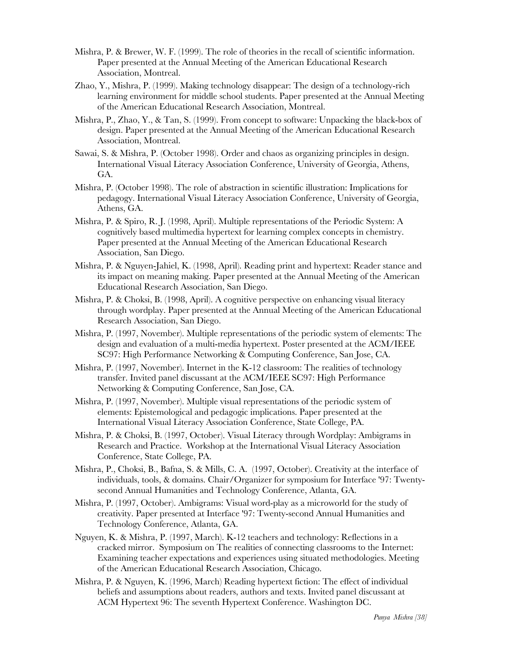- Mishra, P. & Brewer, W. F. (1999). The role of theories in the recall of scientific information. Paper presented at the Annual Meeting of the American Educational Research Association, Montreal.
- Zhao, Y., Mishra, P. (1999). Making technology disappear: The design of a technology-rich learning environment for middle school students. Paper presented at the Annual Meeting of the American Educational Research Association, Montreal.
- Mishra, P., Zhao, Y., & Tan, S. (1999). From concept to software: Unpacking the black-box of design. Paper presented at the Annual Meeting of the American Educational Research Association, Montreal.
- Sawai, S. & Mishra, P. (October 1998). Order and chaos as organizing principles in design. International Visual Literacy Association Conference, University of Georgia, Athens, GA.
- Mishra, P. (October 1998). The role of abstraction in scientific illustration: Implications for pedagogy. International Visual Literacy Association Conference, University of Georgia, Athens, GA.
- Mishra, P. & Spiro, R. J. (1998, April). Multiple representations of the Periodic System: A cognitively based multimedia hypertext for learning complex concepts in chemistry. Paper presented at the Annual Meeting of the American Educational Research Association, San Diego.
- Mishra, P. & Nguyen-Jahiel, K. (1998, April). Reading print and hypertext: Reader stance and its impact on meaning making. Paper presented at the Annual Meeting of the American Educational Research Association, San Diego.
- Mishra, P. & Choksi, B. (1998, April). A cognitive perspective on enhancing visual literacy through wordplay. Paper presented at the Annual Meeting of the American Educational Research Association, San Diego.
- Mishra, P. (1997, November). Multiple representations of the periodic system of elements: The design and evaluation of a multi-media hypertext. Poster presented at the ACM/IEEE SC97: High Performance Networking & Computing Conference, San Jose, CA.
- Mishra, P. (1997, November). Internet in the K-12 classroom: The realities of technology transfer. Invited panel discussant at the ACM/IEEE SC97: High Performance Networking & Computing Conference, San Jose, CA.
- Mishra, P. (1997, November). Multiple visual representations of the periodic system of elements: Epistemological and pedagogic implications. Paper presented at the International Visual Literacy Association Conference, State College, PA.
- Mishra, P. & Choksi, B. (1997, October). Visual Literacy through Wordplay: Ambigrams in Research and Practice. Workshop at the International Visual Literacy Association Conference, State College, PA.
- Mishra, P., Choksi, B., Bafna, S. & Mills, C. A. (1997, October). Creativity at the interface of individuals, tools, & domains. Chair/Organizer for symposium for Interface '97: Twentysecond Annual Humanities and Technology Conference, Atlanta, GA.
- Mishra, P. (1997, October). Ambigrams: Visual word-play as a microworld for the study of creativity. Paper presented at Interface '97: Twenty-second Annual Humanities and Technology Conference, Atlanta, GA.
- Nguyen, K. & Mishra, P. (1997, March). K-12 teachers and technology: Reflections in a cracked mirror. Symposium on The realities of connecting classrooms to the Internet: Examining teacher expectations and experiences using situated methodologies. Meeting of the American Educational Research Association, Chicago.
- Mishra, P. & Nguyen, K. (1996, March) Reading hypertext fiction: The effect of individual beliefs and assumptions about readers, authors and texts. Invited panel discussant at ACM Hypertext 96: The seventh Hypertext Conference. Washington DC.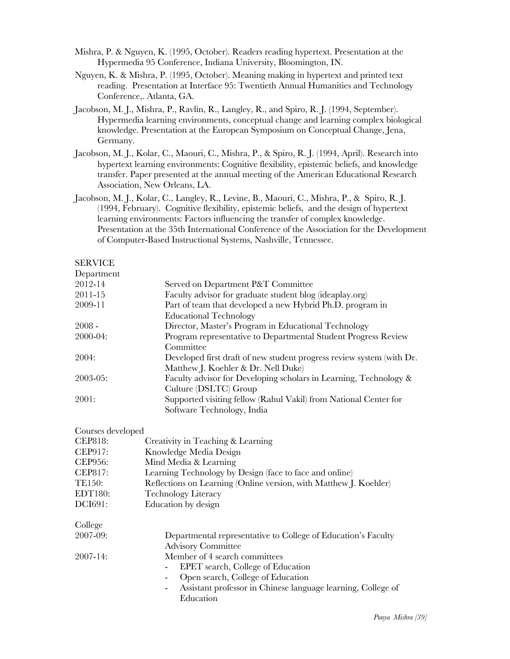- Mishra, P. & Nguyen, K. (1995, October). Readers reading hypertext. Presentation at the Hypermedia 95 Conference, Indiana University, Bloomington, IN.
- Nguyen, K. & Mishra, P. (1995, October). Meaning making in hypertext and printed text reading. Presentation at Interface 95: Twentieth Annual Humanities and Technology Conference,. Atlanta, GA.
- Jacobson, M. J., Mishra, P., Ravlin, R., Langley, R., and Spiro, R. J. (1994, September). Hypermedia learning environments, conceptual change and learning complex biological knowledge. Presentation at the European Symposium on Conceptual Change, Jena, Germany.
- Jacobson, M. J., Kolar, C., Maouri, C., Mishra, P., & Spiro, R. J. (1994, April). Research into hypertext learning environments: Cognitive flexibility, epistemic beliefs, and knowledge transfer. Paper presented at the annual meeting of the American Educational Research Association, New Orleans, LA.
- Jacobson, M. J., Kolar, C., Langley, R., Levine, B., Maouri, C., Mishra, P., & Spiro, R. J. (1994, February). Cognitive flexibility, epistemic beliefs, and the design of hypertext learning environments: Factors influencing the transfer of complex knowledge. Presentation at the 35th International Conference of the Association for the Development of Computer-Based Instructional Systems, Nashville, Tennessee.

## SERVICE

| Department    |                                                                       |
|---------------|-----------------------------------------------------------------------|
| 2012-14       | Served on Department P&T Committee                                    |
| 2011-15       | Faculty advisor for graduate student blog (ideaplay.org)              |
| 2009-11       | Part of team that developed a new Hybrid Ph.D. program in             |
|               | <b>Educational Technology</b>                                         |
| $2008 -$      | Director, Master's Program in Educational Technology                  |
| 2000-04:      | Program representative to Departmental Student Progress Review        |
|               | Committee                                                             |
| 2004:         | Developed first draft of new student progress review system (with Dr. |
|               | Matthew J. Koehler & Dr. Nell Duke)                                   |
| $2003 - 05$ : | Faculty advisor for Developing scholars in Learning, Technology &     |
|               | Culture (DSLTC) Group                                                 |
| 2001:         | Supported visiting fellow (Rahul Vakil) from National Center for      |
|               | Software Technology, India                                            |

### Courses developed

| <b>CEP818:</b> | Creativity in Teaching & Learning                                 |
|----------------|-------------------------------------------------------------------|
| CEP917:        | Knowledge Media Design                                            |
| <b>CEP956:</b> | Mind Media & Learning                                             |
| CEP817:        | Learning Technology by Design (face to face and online)           |
| TE150:         | Reflections on Learning (Online version, with Matthew J. Koehler) |
| EDT180:        | <b>Technology Literacy</b>                                        |
| DCI691:        | Education by design                                               |
| College        |                                                                   |
| 2007-09:       | Departmental representative to College of Education's Faculty     |
|                | <b>Advisory Committee</b>                                         |
| $2007 - 14$ :  | Member of 4 search committees                                     |
|                | EPET search, College of Education                                 |
|                | Open search, College of Education                                 |
|                | Assistant professor in Chinese language learning, College of      |
|                | Education                                                         |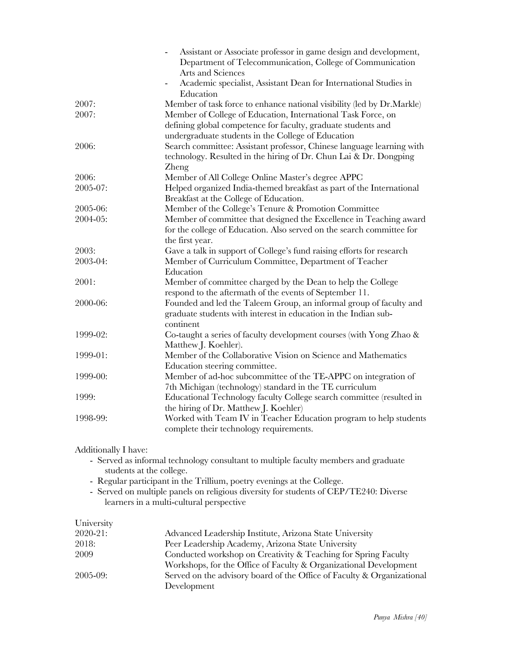|          | Assistant or Associate professor in game design and development,<br>Department of Telecommunication, College of Communication<br>Arts and Sciences<br>Academic specialist, Assistant Dean for International Studies in<br>Education |
|----------|-------------------------------------------------------------------------------------------------------------------------------------------------------------------------------------------------------------------------------------|
| 2007:    | Member of task force to enhance national visibility (led by Dr.Markle)                                                                                                                                                              |
| 2007:    | Member of College of Education, International Task Force, on<br>defining global competence for faculty, graduate students and                                                                                                       |
|          | undergraduate students in the College of Education                                                                                                                                                                                  |
| 2006:    | Search committee: Assistant professor, Chinese language learning with<br>technology. Resulted in the hiring of Dr. Chun Lai & Dr. Dongping<br>Zheng                                                                                 |
| 2006:    | Member of All College Online Master's degree APPC                                                                                                                                                                                   |
| 2005-07: | Helped organized India-themed breakfast as part of the International<br>Breakfast at the College of Education.                                                                                                                      |
| 2005-06: | Member of the College's Tenure & Promotion Committee                                                                                                                                                                                |
| 2004-05: | Member of committee that designed the Excellence in Teaching award<br>for the college of Education. Also served on the search committee for<br>the first year.                                                                      |
| 2003:    | Gave a talk in support of College's fund raising efforts for research                                                                                                                                                               |
| 2003-04: | Member of Curriculum Committee, Department of Teacher<br>Education                                                                                                                                                                  |
| 2001:    | Member of committee charged by the Dean to help the College<br>respond to the aftermath of the events of September 11.                                                                                                              |
| 2000-06: | Founded and led the Taleem Group, an informal group of faculty and<br>graduate students with interest in education in the Indian sub-<br>continent                                                                                  |
| 1999-02: | Co-taught a series of faculty development courses (with Yong Zhao &<br>Matthew J. Koehler).                                                                                                                                         |
| 1999-01: | Member of the Collaborative Vision on Science and Mathematics<br>Education steering committee.                                                                                                                                      |
| 1999-00: | Member of ad-hoc subcommittee of the TE-APPC on integration of<br>7th Michigan (technology) standard in the TE curriculum                                                                                                           |
| 1999:    | Educational Technology faculty College search committee (resulted in<br>the hiring of Dr. Matthew J. Koehler)                                                                                                                       |
| 1998-99: | Worked with Team IV in Teacher Education program to help students<br>complete their technology requirements.                                                                                                                        |

Additionally I have:

- Served as informal technology consultant to multiple faculty members and graduate students at the college.
- Regular participant in the Trillium, poetry evenings at the College.
- Served on multiple panels on religious diversity for students of CEP/TE240: Diverse learners in a multi-cultural perspective

| University    |                                                                        |
|---------------|------------------------------------------------------------------------|
| $2020 - 21$ : | Advanced Leadership Institute, Arizona State University                |
| 2018:         | Peer Leadership Academy, Arizona State University                      |
| 2009          | Conducted workshop on Creativity & Teaching for Spring Faculty         |
|               | Workshops, for the Office of Faculty & Organizational Development      |
| $2005 - 09$ : | Served on the advisory board of the Office of Faculty & Organizational |
|               | Development                                                            |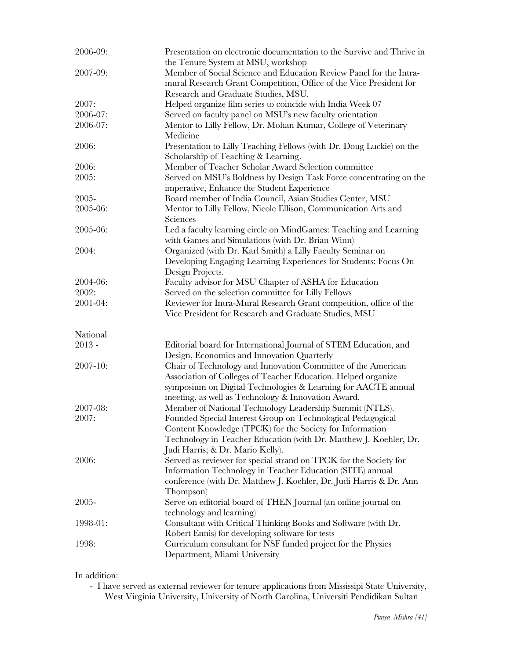| 2006-09: | Presentation on electronic documentation to the Survive and Thrive in<br>the Tenure System at MSU, workshop                              |
|----------|------------------------------------------------------------------------------------------------------------------------------------------|
| 2007-09: | Member of Social Science and Education Review Panel for the Intra-<br>mural Research Grant Competition, Office of the Vice President for |
|          | Research and Graduate Studies, MSU.                                                                                                      |
| 2007:    | Helped organize film series to coincide with India Week 07                                                                               |
| 2006-07: | Served on faculty panel on MSU's new faculty orientation                                                                                 |
| 2006-07: | Mentor to Lilly Fellow, Dr. Mohan Kumar, College of Veterinary                                                                           |
|          | Medicine                                                                                                                                 |
| 2006:    | Presentation to Lilly Teaching Fellows (with Dr. Doug Luckie) on the                                                                     |
|          | Scholarship of Teaching & Learning.                                                                                                      |
| 2006:    | Member of Teacher Scholar Award Selection committee                                                                                      |
| 2005:    | Served on MSU's Boldness by Design Task Force concentrating on the                                                                       |
|          | imperative, Enhance the Student Experience                                                                                               |
| 2005-    | Board member of India Council, Asian Studies Center, MSU                                                                                 |
| 2005-06: |                                                                                                                                          |
|          | Mentor to Lilly Fellow, Nicole Ellison, Communication Arts and<br>Sciences                                                               |
| 2005-06: | Led a faculty learning circle on MindGames: Teaching and Learning                                                                        |
|          | with Games and Simulations (with Dr. Brian Winn)                                                                                         |
| 2004:    | Organized (with Dr. Karl Smith) a Lilly Faculty Seminar on                                                                               |
|          | Developing Engaging Learning Experiences for Students: Focus On                                                                          |
|          | Design Projects.                                                                                                                         |
| 2004-06: | Faculty advisor for MSU Chapter of ASHA for Education                                                                                    |
| 2002:    | Served on the selection committee for Lilly Fellows                                                                                      |
| 2001-04: | Reviewer for Intra-Mural Research Grant competition, office of the                                                                       |
|          | Vice President for Research and Graduate Studies, MSU                                                                                    |
| National |                                                                                                                                          |
| $2013 -$ | Editorial board for International Journal of STEM Education, and                                                                         |
|          | Design, Economics and Innovation Quarterly                                                                                               |
| 2007-10: | Chair of Technology and Innovation Committee of the American                                                                             |
|          | Association of Colleges of Teacher Education. Helped organize                                                                            |
|          | symposium on Digital Technologies & Learning for AACTE annual                                                                            |
|          | meeting, as well as Technology & Innovation Award.                                                                                       |
| 2007-08: | Member of National Technology Leadership Summit (NTLS).                                                                                  |
| 2007:    | Founded Special Interest Group on Technological Pedagogical                                                                              |
|          | Content Knowledge (TPCK) for the Society for Information                                                                                 |
|          | Technology in Teacher Education (with Dr. Matthew J. Koehler, Dr.                                                                        |
|          | Judi Harris; & Dr. Mario Kelly).                                                                                                         |
| 2006:    | Served as reviewer for special strand on TPCK for the Society for                                                                        |
|          | Information Technology in Teacher Education (SITE) annual                                                                                |
|          | conference (with Dr. Matthew J. Koehler, Dr. Judi Harris & Dr. Ann                                                                       |
|          | Thompson)                                                                                                                                |
| 2005-    | Serve on editorial board of THEN Journal (an online journal on                                                                           |
|          |                                                                                                                                          |
|          | technology and learning)                                                                                                                 |
| 1998-01: | Consultant with Critical Thinking Books and Software (with Dr.                                                                           |
|          | Robert Ennis) for developing software for tests                                                                                          |
| 1998:    | Curriculum consultant for NSF funded project for the Physics                                                                             |
|          | Department, Miami University                                                                                                             |

In addition:

- I have served as external reviewer for tenure applications from Mississipi State University, West Virginia University, University of North Carolina, Universiti Pendidikan Sultan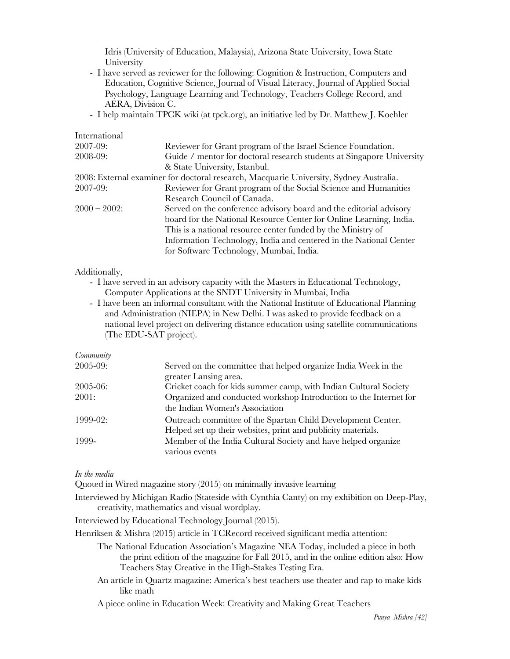Idris (University of Education, Malaysia), Arizona State University, Iowa State University

- I have served as reviewer for the following: Cognition & Instruction, Computers and Education, Cognitive Science, Journal of Visual Literacy, Journal of Applied Social Psychology, Language Learning and Technology, Teachers College Record, and AERA, Division C.
- I help maintain TPCK wiki (at tpck.org), an initiative led by Dr. Matthew J. Koehler

| International |                                                                                        |
|---------------|----------------------------------------------------------------------------------------|
| 2007-09:      | Reviewer for Grant program of the Israel Science Foundation.                           |
| 2008-09:      | Guide / mentor for doctoral research students at Singapore University                  |
|               | & State University, Istanbul.                                                          |
|               | 2008: External examiner for doctoral research, Macquarie University, Sydney Australia. |
| 2007-09:      | Reviewer for Grant program of the Social Science and Humanities                        |
|               | Research Council of Canada.                                                            |
| $2000 - 2002$ | Served on the conference advisory board and the editorial advisory                     |
|               | board for the National Resource Center for Online Learning, India.                     |
|               | This is a national resource center funded by the Ministry of                           |
|               | Information Technology, India and centered in the National Center                      |
|               | for Software Technology, Mumbai, India.                                                |

## Additionally,

- I have served in an advisory capacity with the Masters in Educational Technology, Computer Applications at the SNDT University in Mumbai, India
- I have been an informal consultant with the National Institute of Educational Planning and Administration (NIEPA) in New Delhi. I was asked to provide feedback on a national level project on delivering distance education using satellite communications (The EDU-SAT project).

## *Community*

| Served on the committee that helped organize India Week in the    |
|-------------------------------------------------------------------|
| greater Lansing area.                                             |
| Cricket coach for kids summer camp, with Indian Cultural Society  |
| Organized and conducted workshop Introduction to the Internet for |
| the Indian Women's Association                                    |
| Outreach committee of the Spartan Child Development Center.       |
| Helped set up their websites, print and publicity materials.      |
| Member of the India Cultural Society and have helped organize     |
| various events                                                    |
|                                                                   |

## *In the media*

Quoted in Wired magazine story (2015) on minimally invasive learning

Interviewed by Michigan Radio (Stateside with Cynthia Canty) on my exhibition on Deep-Play, creativity, mathematics and visual wordplay.

Interviewed by Educational Technology Journal (2015).

Henriksen & Mishra (2015) article in TCRecord received significant media attention:

- The National Education Association's Magazine NEA Today, included a piece in both the print edition of the magazine for Fall 2015, and in the online edition also: How Teachers Stay Creative in the High-Stakes Testing Era.
- An article in Quartz magazine: America's best teachers use theater and rap to make kids like math

A piece online in Education Week: Creativity and Making Great Teachers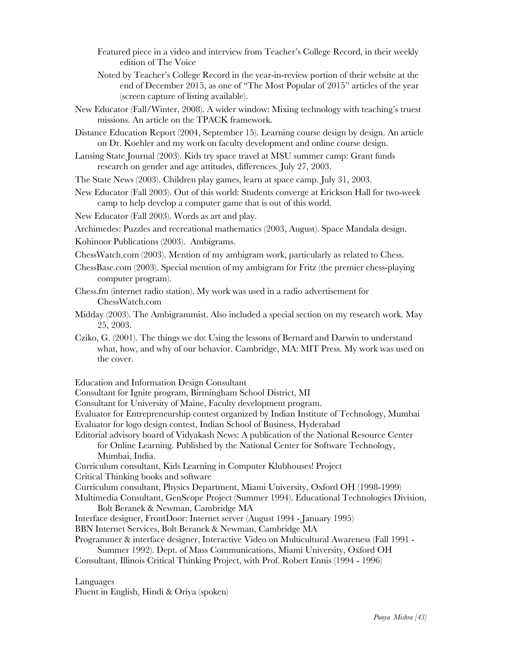- Featured piece in a video and interview from Teacher's College Record, in their weekly edition of The Voice
- Noted by Teacher's College Record in the year-in-review portion of their website at the end of December 2015, as one of "The Most Popular of 2015" articles of the year (screen capture of listing available).
- New Educator (Fall/Winter, 2008). A wider window: Mixing technology with teaching's truest missions. An article on the TPACK framework.
- Distance Education Report (2004, September 15). Learning course design by design. An article on Dr. Koehler and my work on faculty development and online course design.
- Lansing State Journal (2003). Kids try space travel at MSU summer camp: Grant funds research on gender and age attitudes, differences. July 27, 2003.

The State News (2003). Children play games, learn at space camp. July 31, 2003.

New Educator (Fall 2003). Out of this world: Students converge at Erickson Hall for two-week camp to help develop a computer game that is out of this world.

New Educator (Fall 2003). Words as art and play.

Archimedes: Puzzles and recreational mathematics (2003, August). Space Mandala design.

Kohinoor Publications (2003). Ambigrams.

- ChessWatch.com (2003). Mention of my ambigram work, particularly as related to Chess.
- ChessBase.com (2003). Special mention of my ambigram for Fritz (the premier chess-playing computer program).
- Chess.fm (internet radio station). My work was used in a radio advertisement for ChessWatch.com
- Midday (2003). The Ambigrammist. Also included a special section on my research work. May 25, 2003.
- Cziko, G. (2001). The things we do: Using the lessons of Bernard and Darwin to understand what, how, and why of our behavior. Cambridge, MA: MIT Press. My work was used on the cover.

Education and Information Design Consultant

Consultant for Ignite program, Birmingham School District, MI

Consultant for University of Maine, Faculty development program.

Evaluator for Entrepreneurship contest organized by Indian Institute of Technology, Mumbai Evaluator for logo design contest, Indian School of Business, Hyderabad

Editorial advisory board of Vidyakash News: A publication of the National Resource Center for Online Learning. Published by the National Center for Software Technology, Mumbai, India.

Curriculum consultant, Kids Learning in Computer Klubhouses! Project

Critical Thinking books and software

Curriculum consultant, Physics Department, Miami University, Oxford OH (1998-1999)

Multimedia Consultant, GenScope Project (Summer 1994). Educational Technologies Division, Bolt Beranek & Newman, Cambridge MA

Interface designer, FrontDoor: Internet server (August 1994 - January 1995)

BBN Internet Services, Bolt Beranek & Newman, Cambridge MA

Programmer & interface designer, Interactive Video on Multicultural Awareness (Fall 1991 - Summer 1992). Dept. of Mass Communications, Miami University, Oxford OH

Consultant, Illinois Critical Thinking Project, with Prof. Robert Ennis (1994 - 1996)

Languages

Fluent in English, Hindi & Oriya (spoken)